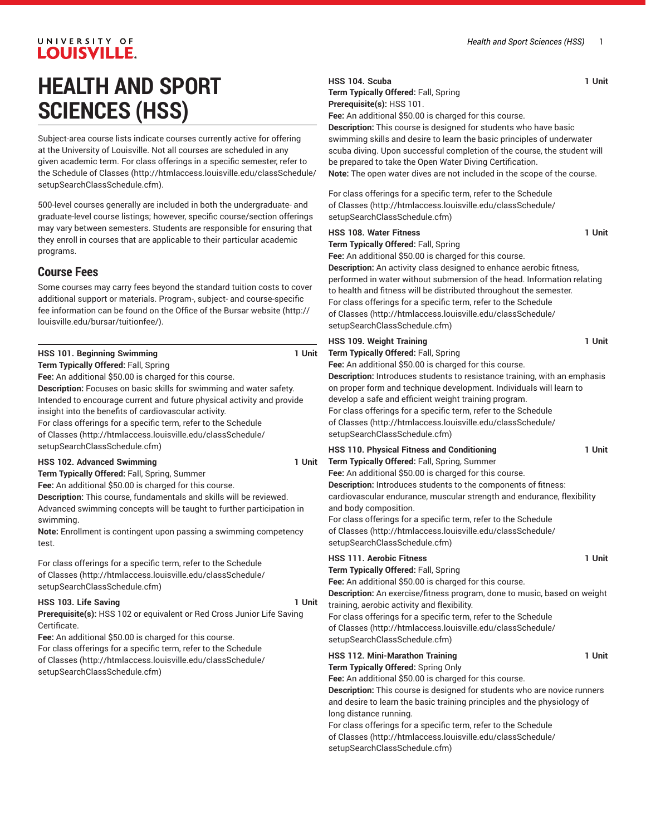#### **HSS 104. Scuba 1 Unit Term Typically Offered:** Fall, Spring **Prerequisite(s):** HSS 101. **Fee:** An additional \$50.00 is charged for this course. **Description:** This course is designed for students who have basic swimming skills and desire to learn the basic principles of underwater scuba diving. Upon successful completion of the course, the student will be prepared to take the Open Water Diving Certification. **Note:** The open water dives are not included in the scope of the course. For class offerings for a specific term, refer to the [Schedule](http://htmlaccess.louisville.edu/classSchedule/setupSearchClassSchedule.cfm) [of Classes](http://htmlaccess.louisville.edu/classSchedule/setupSearchClassSchedule.cfm) ([http://htmlaccess.louisville.edu/classSchedule/](http://htmlaccess.louisville.edu/classSchedule/setupSearchClassSchedule.cfm) [setupSearchClassSchedule.cfm\)](http://htmlaccess.louisville.edu/classSchedule/setupSearchClassSchedule.cfm) **HSS 108. Water Fitness 1 Unit Term Typically Offered:** Fall, Spring **Fee:** An additional \$50.00 is charged for this course. **Description:** An activity class designed to enhance aerobic fitness, performed in water without submersion of the head. Information relating to health and fitness will be distributed throughout the semester. For class offerings for a specific term, refer to the [Schedule](http://htmlaccess.louisville.edu/classSchedule/setupSearchClassSchedule.cfm) [of Classes](http://htmlaccess.louisville.edu/classSchedule/setupSearchClassSchedule.cfm) ([http://htmlaccess.louisville.edu/classSchedule/](http://htmlaccess.louisville.edu/classSchedule/setupSearchClassSchedule.cfm) [setupSearchClassSchedule.cfm\)](http://htmlaccess.louisville.edu/classSchedule/setupSearchClassSchedule.cfm) **HSS 109. Weight Training 1 Unit Term Typically Offered:** Fall, Spring **Fee:** An additional \$50.00 is charged for this course. **h** an emphasis Il learn to develop a safe and efficient weight training program. For class offerings for a specific term, refer to the [Schedule](http://htmlaccess.louisville.edu/classSchedule/setupSearchClassSchedule.cfm) [of Classes](http://htmlaccess.louisville.edu/classSchedule/setupSearchClassSchedule.cfm) ([http://htmlaccess.louisville.edu/classSchedule/](http://htmlaccess.louisville.edu/classSchedule/setupSearchClassSchedule.cfm) [setupSearchClassSchedule.cfm\)](http://htmlaccess.louisville.edu/classSchedule/setupSearchClassSchedule.cfm) **HSS 110. Physical Fitness and Conditioning 1 Unit Term Typically Offered:** Fall, Spring, Summer **Fee:** An additional \$50.00 is charged for this course. **Description:** Introduces students to the components of fitness: ce, flexibility and body composition. For class offerings for a specific term, refer to the [Schedule](http://htmlaccess.louisville.edu/classSchedule/setupSearchClassSchedule.cfm) [of Classes](http://htmlaccess.louisville.edu/classSchedule/setupSearchClassSchedule.cfm) ([http://htmlaccess.louisville.edu/classSchedule/](http://htmlaccess.louisville.edu/classSchedule/setupSearchClassSchedule.cfm) [setupSearchClassSchedule.cfm\)](http://htmlaccess.louisville.edu/classSchedule/setupSearchClassSchedule.cfm) **HSS 111. Aerobic Fitness 1 Unit Term Typically Offered:** Fall, Spring **Fee:** An additional \$50.00 is charged for this course. **Description:** An exercise/fitness program, done to music, based on weight training, aerobic activity and flexibility. For class offerings for a specific term, refer to the [Schedule](http://htmlaccess.louisville.edu/classSchedule/setupSearchClassSchedule.cfm) [of Classes](http://htmlaccess.louisville.edu/classSchedule/setupSearchClassSchedule.cfm) ([http://htmlaccess.louisville.edu/classSchedule/](http://htmlaccess.louisville.edu/classSchedule/setupSearchClassSchedule.cfm) [setupSearchClassSchedule.cfm\)](http://htmlaccess.louisville.edu/classSchedule/setupSearchClassSchedule.cfm) **HSS 112. Mini-Marathon Training 1 Unit Term Typically Offered:** Spring Only **Fee:** An additional \$50.00 is charged for this course. **Description:** The runners siology of long distance running.

[of Classes](http://htmlaccess.louisville.edu/classSchedule/setupSearchClassSchedule.cfm) ([http://htmlaccess.louisville.edu/classSchedule/](http://htmlaccess.louisville.edu/classSchedule/setupSearchClassSchedule.cfm) [setupSearchClassSchedule.cfm\)](http://htmlaccess.louisville.edu/classSchedule/setupSearchClassSchedule.cfm)

## **HEALTH AND SPORT SCIENCES (HSS)**

Subject-area course lists indicate courses currently active for offering at the University of Louisville. Not all courses are scheduled in any given academic term. For class offerings in a specific semester, refer to the [Schedule of Classes](http://htmlaccess.louisville.edu/classSchedule/setupSearchClassSchedule.cfm) ([http://htmlaccess.louisville.edu/classSchedule/](http://htmlaccess.louisville.edu/classSchedule/setupSearchClassSchedule.cfm) [setupSearchClassSchedule.cfm\)](http://htmlaccess.louisville.edu/classSchedule/setupSearchClassSchedule.cfm).

500-level courses generally are included in both the undergraduate- and graduate-level course listings; however, specific course/section offerings may vary between semesters. Students are responsible for ensuring that they enroll in courses that are applicable to their particular academic programs.

## **Course Fees**

Some courses may carry fees beyond the standard tuition costs to cover additional support or materials. Program-, subject- and course-specific fee information can be found on the [Office of the Bursar website](http://louisville.edu/bursar/tuitionfee/) ([http://](http://louisville.edu/bursar/tuitionfee/) [louisville.edu/bursar/tuitionfee/](http://louisville.edu/bursar/tuitionfee/)).

|                                                                                                                                                                                                                                                                                                                                                                                                                                                                                                                               | <b>HSS 109. Weight Training</b>                                                                                                                                                                                                                                                                                                                                                                                                                                                                                                                                                                                                                                                                                                                                                         |
|-------------------------------------------------------------------------------------------------------------------------------------------------------------------------------------------------------------------------------------------------------------------------------------------------------------------------------------------------------------------------------------------------------------------------------------------------------------------------------------------------------------------------------|-----------------------------------------------------------------------------------------------------------------------------------------------------------------------------------------------------------------------------------------------------------------------------------------------------------------------------------------------------------------------------------------------------------------------------------------------------------------------------------------------------------------------------------------------------------------------------------------------------------------------------------------------------------------------------------------------------------------------------------------------------------------------------------------|
| 1 Unit<br>HSS 101. Beginning Swimming<br>Term Typically Offered: Fall, Spring<br>Fee: An additional \$50.00 is charged for this course.<br>Description: Focuses on basic skills for swimming and water safety.<br>Intended to encourage current and future physical activity and provide<br>insight into the benefits of cardiovascular activity.<br>For class offerings for a specific term, refer to the Schedule<br>of Classes (http://htmlaccess.louisville.edu/classSchedule/                                            | Term Typically Offered: Fall, Spring<br>Fee: An additional \$50.00 is charged for this course.<br>Description: Introduces students to resistance training, with<br>on proper form and technique development. Individuals will<br>develop a safe and efficient weight training program.<br>For class offerings for a specific term, refer to the Schedule<br>of Classes (http://htmlaccess.louisville.edu/classSchedule<br>setupSearchClassSchedule.cfm)                                                                                                                                                                                                                                                                                                                                 |
| setupSearchClassSchedule.cfm)<br>HSS 102. Advanced Swimming<br>1 Unit<br>Term Typically Offered: Fall, Spring, Summer<br>Fee: An additional \$50.00 is charged for this course.<br>Description: This course, fundamentals and skills will be reviewed.<br>Advanced swimming concepts will be taught to further participation in<br>swimming.<br>Note: Enrollment is contingent upon passing a swimming competency<br>test.                                                                                                    | HSS 110. Physical Fitness and Conditioning<br>Term Typically Offered: Fall, Spring, Summer<br>Fee: An additional \$50.00 is charged for this course.<br>Description: Introduces students to the components of fitne<br>cardiovascular endurance, muscular strength and endurand<br>and body composition.<br>For class offerings for a specific term, refer to the Schedule<br>of Classes (http://htmlaccess.louisville.edu/classSchedule<br>setupSearchClassSchedule.cfm)                                                                                                                                                                                                                                                                                                               |
| For class offerings for a specific term, refer to the Schedule<br>of Classes (http://htmlaccess.louisville.edu/classSchedule/<br>setupSearchClassSchedule.cfm)<br>1 Unit<br>HSS 103. Life Saving<br><b>Prerequisite(s): HSS 102 or equivalent or Red Cross Junior Life Saving</b><br>Certificate.<br>Fee: An additional \$50.00 is charged for this course.<br>For class offerings for a specific term, refer to the Schedule<br>of Classes (http://htmlaccess.louisville.edu/classSchedule/<br>setupSearchClassSchedule.cfm) | <b>HSS 111. Aerobic Fitness</b><br>Term Typically Offered: Fall, Spring<br>Fee: An additional \$50.00 is charged for this course.<br>Description: An exercise/fitness program, done to music, ba<br>training, aerobic activity and flexibility.<br>For class offerings for a specific term, refer to the Schedule<br>of Classes (http://htmlaccess.louisville.edu/classSchedule<br>setupSearchClassSchedule.cfm)<br><b>HSS 112. Mini-Marathon Training</b><br>Term Typically Offered: Spring Only<br>Fee: An additional \$50.00 is charged for this course.<br>Description: This course is designed for students who are n<br>and desire to learn the basic training principles and the phy<br>long distance running.<br>For class offerings for a specific term, refer to the Schedule |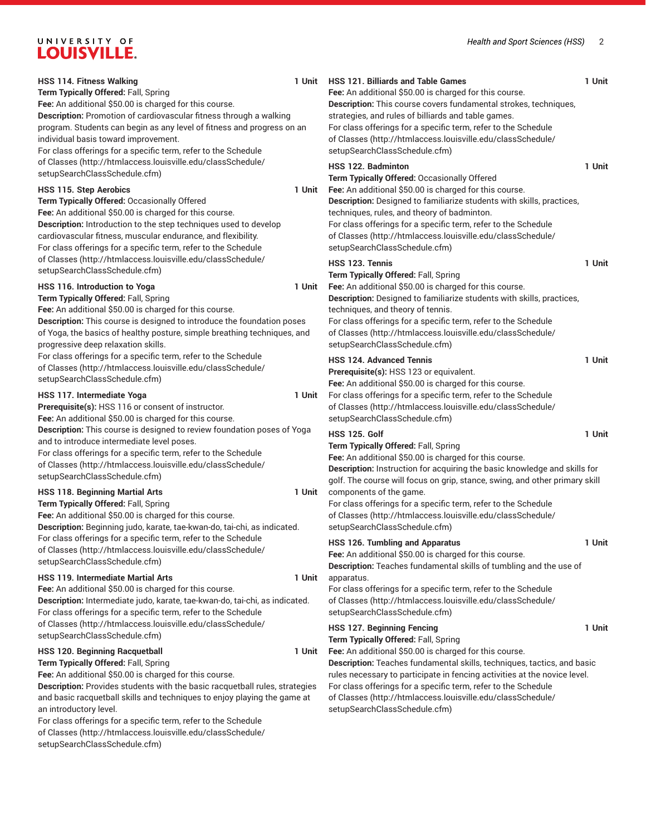| <b>HSS 114. Fitness Walking</b><br>Term Typically Offered: Fall, Spring<br>Fee: An additional \$50.00 is charged for this course.                                                                                                                                                                                                                                                                                                                                                              | 1 Unit | <b>HSS 121. Billiards and Table Games</b><br>Fee: An additional \$50.00 is charged for this course.<br>Description: This course covers fundamental strokes, techniques,                                                                                                                                                                                                          | 1 Unit |
|------------------------------------------------------------------------------------------------------------------------------------------------------------------------------------------------------------------------------------------------------------------------------------------------------------------------------------------------------------------------------------------------------------------------------------------------------------------------------------------------|--------|----------------------------------------------------------------------------------------------------------------------------------------------------------------------------------------------------------------------------------------------------------------------------------------------------------------------------------------------------------------------------------|--------|
| Description: Promotion of cardiovascular fitness through a walking<br>program. Students can begin as any level of fitness and progress on an<br>individual basis toward improvement.                                                                                                                                                                                                                                                                                                           |        | strategies, and rules of billiards and table games.<br>For class offerings for a specific term, refer to the Schedule<br>of Classes (http://htmlaccess.louisville.edu/classSchedule/                                                                                                                                                                                             |        |
| For class offerings for a specific term, refer to the Schedule<br>of Classes (http://htmlaccess.louisville.edu/classSchedule/<br>setupSearchClassSchedule.cfm)                                                                                                                                                                                                                                                                                                                                 |        | setupSearchClassSchedule.cfm)<br><b>HSS 122. Badminton</b>                                                                                                                                                                                                                                                                                                                       | 1 Unit |
| HSS 115. Step Aerobics<br>Term Typically Offered: Occasionally Offered                                                                                                                                                                                                                                                                                                                                                                                                                         | 1 Unit | Term Typically Offered: Occasionally Offered<br>Fee: An additional \$50.00 is charged for this course.<br>Description: Designed to familiarize students with skills, practices,                                                                                                                                                                                                  |        |
| Fee: An additional \$50.00 is charged for this course.<br>Description: Introduction to the step techniques used to develop<br>cardiovascular fitness, muscular endurance, and flexibility.<br>For class offerings for a specific term, refer to the Schedule                                                                                                                                                                                                                                   |        | techniques, rules, and theory of badminton.<br>For class offerings for a specific term, refer to the Schedule<br>of Classes (http://htmlaccess.louisville.edu/classSchedule/<br>setupSearchClassSchedule.cfm)                                                                                                                                                                    |        |
| of Classes (http://htmlaccess.louisville.edu/classSchedule/<br>setupSearchClassSchedule.cfm)                                                                                                                                                                                                                                                                                                                                                                                                   |        | HSS 123. Tennis                                                                                                                                                                                                                                                                                                                                                                  | 1 Unit |
| HSS 116. Introduction to Yoga<br>Term Typically Offered: Fall, Spring                                                                                                                                                                                                                                                                                                                                                                                                                          | 1 Unit | Term Typically Offered: Fall, Spring<br>Fee: An additional \$50.00 is charged for this course.<br>Description: Designed to familiarize students with skills, practices,                                                                                                                                                                                                          |        |
| Fee: An additional \$50.00 is charged for this course.<br>Description: This course is designed to introduce the foundation poses<br>of Yoga, the basics of healthy posture, simple breathing techniques, and<br>progressive deep relaxation skills.                                                                                                                                                                                                                                            |        | techniques, and theory of tennis.<br>For class offerings for a specific term, refer to the Schedule<br>of Classes (http://htmlaccess.louisville.edu/classSchedule/<br>setupSearchClassSchedule.cfm)                                                                                                                                                                              |        |
| For class offerings for a specific term, refer to the Schedule<br>of Classes (http://htmlaccess.louisville.edu/classSchedule/<br>setupSearchClassSchedule.cfm)                                                                                                                                                                                                                                                                                                                                 |        | <b>HSS 124. Advanced Tennis</b><br>Prerequisite(s): HSS 123 or equivalent.<br>Fee: An additional \$50.00 is charged for this course.                                                                                                                                                                                                                                             | 1 Unit |
| HSS 117. Intermediate Yoga<br>Prerequisite(s): HSS 116 or consent of instructor.<br>Fee: An additional \$50.00 is charged for this course.                                                                                                                                                                                                                                                                                                                                                     | 1 Unit | For class offerings for a specific term, refer to the Schedule<br>of Classes (http://htmlaccess.louisville.edu/classSchedule/<br>setupSearchClassSchedule.cfm)                                                                                                                                                                                                                   |        |
| Description: This course is designed to review foundation poses of Yoga<br>and to introduce intermediate level poses.<br>For class offerings for a specific term, refer to the Schedule<br>of Classes (http://htmlaccess.louisville.edu/classSchedule/<br>setupSearchClassSchedule.cfm)                                                                                                                                                                                                        |        | <b>HSS 125, Golf</b><br>Term Typically Offered: Fall, Spring<br>Fee: An additional \$50.00 is charged for this course.<br>Description: Instruction for acquiring the basic knowledge and skills for<br>golf. The course will focus on grip, stance, swing, and other primary skill                                                                                               | 1 Unit |
| <b>HSS 118. Beginning Martial Arts</b><br>Term Typically Offered: Fall, Spring<br>Fee: An additional \$50.00 is charged for this course.<br>Description: Beginning judo, karate, tae-kwan-do, tai-chi, as indicated.                                                                                                                                                                                                                                                                           | 1 Unit | components of the game.<br>For class offerings for a specific term, refer to the Schedule<br>of Classes (http://htmlaccess.louisville.edu/classSchedule/<br>setupSearchClassSchedule.cfm)                                                                                                                                                                                        |        |
| For class offerings for a specific term, refer to the Schedule<br>of Classes (http://htmlaccess.louisville.edu/classSchedule/<br>setupSearchClassSchedule.cfm)                                                                                                                                                                                                                                                                                                                                 |        | <b>HSS 126. Tumbling and Apparatus</b><br>Fee: An additional \$50.00 is charged for this course.<br>Description: Teaches fundamental skills of tumbling and the use of                                                                                                                                                                                                           | 1 Unit |
| HSS 119. Intermediate Martial Arts<br>Fee: An additional \$50.00 is charged for this course.<br>Description: Intermediate judo, karate, tae-kwan-do, tai-chi, as indicated.<br>For class offerings for a specific term, refer to the Schedule                                                                                                                                                                                                                                                  | 1 Unit | apparatus.<br>For class offerings for a specific term, refer to the Schedule<br>of Classes (http://htmlaccess.louisville.edu/classSchedule/<br>setupSearchClassSchedule.cfm)                                                                                                                                                                                                     |        |
| of Classes (http://htmlaccess.louisville.edu/classSchedule/<br>setupSearchClassSchedule.cfm)                                                                                                                                                                                                                                                                                                                                                                                                   |        | <b>HSS 127. Beginning Fencing</b><br>Term Typically Offered: Fall, Spring                                                                                                                                                                                                                                                                                                        | 1 Unit |
| <b>HSS 120. Beginning Racquetball</b><br>Term Typically Offered: Fall, Spring<br>Fee: An additional \$50.00 is charged for this course.<br>Description: Provides students with the basic racquetball rules, strategies<br>and basic racquetball skills and techniques to enjoy playing the game at<br>an introductory level.<br>For class offerings for a specific term, refer to the Schedule<br>of Classes (http://htmlaccess.louisville.edu/classSchedule/<br>setupSearchClassSchedule.cfm) | 1 Unit | Fee: An additional \$50.00 is charged for this course.<br>Description: Teaches fundamental skills, techniques, tactics, and basic<br>rules necessary to participate in fencing activities at the novice level.<br>For class offerings for a specific term, refer to the Schedule<br>of Classes (http://htmlaccess.louisville.edu/classSchedule/<br>setupSearchClassSchedule.cfm) |        |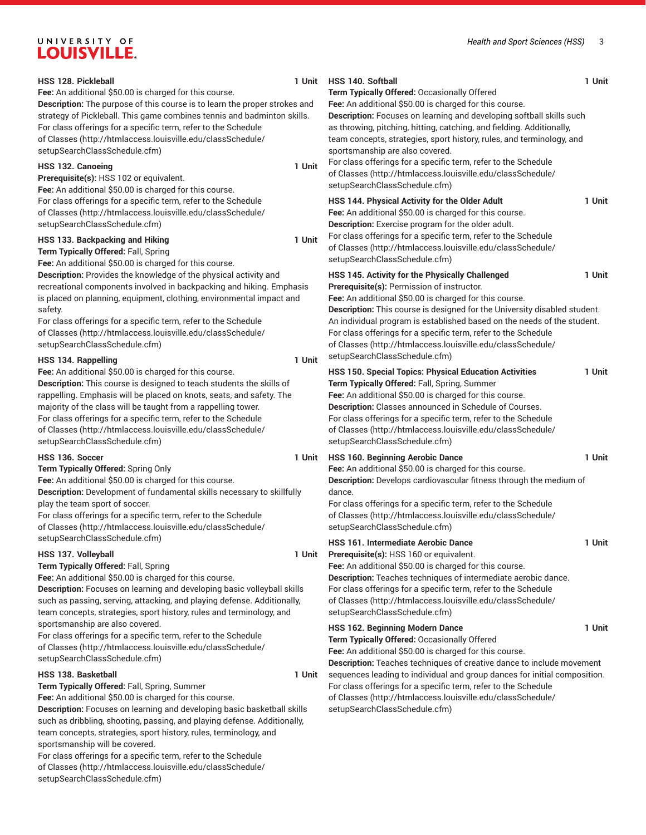| <b>HSS 128. Pickleball</b><br>Fee: An additional \$50.00 is charged for this course.<br><b>Description:</b> The purpose of this course is to learn the proper strokes and<br>strategy of Pickleball. This game combines tennis and badminton skills.                                                                                                                                                                                      | 1 Unit | <b>HSS 140. Softball</b><br>Term Typically Offered: Occasionally Offered<br>Fee: An additional \$50.00 is charged for this course.<br>Description: Focuses on learning and developing softball skills such                                                                                                                                                                                                                                                                        | 1 Unit |
|-------------------------------------------------------------------------------------------------------------------------------------------------------------------------------------------------------------------------------------------------------------------------------------------------------------------------------------------------------------------------------------------------------------------------------------------|--------|-----------------------------------------------------------------------------------------------------------------------------------------------------------------------------------------------------------------------------------------------------------------------------------------------------------------------------------------------------------------------------------------------------------------------------------------------------------------------------------|--------|
| For class offerings for a specific term, refer to the Schedule<br>of Classes (http://htmlaccess.louisville.edu/classSchedule/<br>setupSearchClassSchedule.cfm)<br>HSS 132. Canoeing                                                                                                                                                                                                                                                       | 1 Unit | as throwing, pitching, hitting, catching, and fielding. Additionally,<br>team concepts, strategies, sport history, rules, and terminology, and<br>sportsmanship are also covered.<br>For class offerings for a specific term, refer to the Schedule                                                                                                                                                                                                                               |        |
| Prerequisite(s): HSS 102 or equivalent.<br>Fee: An additional \$50.00 is charged for this course.                                                                                                                                                                                                                                                                                                                                         |        | of Classes (http://htmlaccess.louisville.edu/classSchedule/<br>setupSearchClassSchedule.cfm)                                                                                                                                                                                                                                                                                                                                                                                      |        |
| For class offerings for a specific term, refer to the Schedule<br>of Classes (http://htmlaccess.louisville.edu/classSchedule/<br>setupSearchClassSchedule.cfm)                                                                                                                                                                                                                                                                            |        | HSS 144. Physical Activity for the Older Adult<br>Fee: An additional \$50.00 is charged for this course.<br>Description: Exercise program for the older adult.                                                                                                                                                                                                                                                                                                                    | 1 Unit |
| HSS 133. Backpacking and Hiking<br>Term Typically Offered: Fall, Spring<br>Fee: An additional \$50.00 is charged for this course.                                                                                                                                                                                                                                                                                                         | 1 Unit | For class offerings for a specific term, refer to the Schedule<br>of Classes (http://htmlaccess.louisville.edu/classSchedule/<br>setupSearchClassSchedule.cfm)                                                                                                                                                                                                                                                                                                                    |        |
| Description: Provides the knowledge of the physical activity and<br>recreational components involved in backpacking and hiking. Emphasis<br>is placed on planning, equipment, clothing, environmental impact and<br>safety.<br>For class offerings for a specific term, refer to the Schedule<br>of Classes (http://htmlaccess.louisville.edu/classSchedule/<br>setupSearchClassSchedule.cfm)<br>HSS 134. Rappelling                      | 1 Unit | HSS 145. Activity for the Physically Challenged<br>Prerequisite(s): Permission of instructor.<br>Fee: An additional \$50.00 is charged for this course.<br>Description: This course is designed for the University disabled student.<br>An individual program is established based on the needs of the student.<br>For class offerings for a specific term, refer to the Schedule<br>of Classes (http://htmlaccess.louisville.edu/classSchedule/<br>setupSearchClassSchedule.cfm) | 1 Unit |
| Fee: An additional \$50.00 is charged for this course.<br>Description: This course is designed to teach students the skills of<br>rappelling. Emphasis will be placed on knots, seats, and safety. The<br>majority of the class will be taught from a rappelling tower.<br>For class offerings for a specific term, refer to the Schedule<br>of Classes (http://htmlaccess.louisville.edu/classSchedule/<br>setupSearchClassSchedule.cfm) |        | HSS 150. Special Topics: Physical Education Activities<br>Term Typically Offered: Fall, Spring, Summer<br>Fee: An additional \$50.00 is charged for this course.<br>Description: Classes announced in Schedule of Courses.<br>For class offerings for a specific term, refer to the Schedule<br>of Classes (http://htmlaccess.louisville.edu/classSchedule/<br>setupSearchClassSchedule.cfm)                                                                                      | 1 Unit |
| HSS 136. Soccer<br>Term Typically Offered: Spring Only<br>Fee: An additional \$50.00 is charged for this course.<br>Description: Development of fundamental skills necessary to skillfully<br>play the team sport of soccer.<br>For class offerings for a specific term, refer to the Schedule<br>of Classes (http://htmlaccess.louisville.edu/classSchedule/                                                                             | 1 Unit | <b>HSS 160. Beginning Aerobic Dance</b><br>Fee: An additional \$50.00 is charged for this course.<br>Description: Develops cardiovascular fitness through the medium of<br>dance.<br>For class offerings for a specific term, refer to the Schedule<br>of Classes (http://htmlaccess.louisville.edu/classSchedule/<br>setupSearchClassSchedule.cfm)                                                                                                                               | 1 Unit |
| setupSearchClassSchedule.cfm)<br>HSS 137. Volleyball<br>Term Typically Offered: Fall, Spring<br>Fee: An additional \$50.00 is charged for this course.<br>Description: Focuses on learning and developing basic volleyball skills<br>such as passing, serving, attacking, and playing defense. Additionally,<br>team concepts, strategies, sport history, rules and terminology, and                                                      | 1 Unit | <b>HSS 161. Intermediate Aerobic Dance</b><br>Prerequisite(s): HSS 160 or equivalent.<br>Fee: An additional \$50.00 is charged for this course.<br>Description: Teaches techniques of intermediate aerobic dance.<br>For class offerings for a specific term, refer to the Schedule<br>of Classes (http://htmlaccess.louisville.edu/classSchedule/<br>setupSearchClassSchedule.cfm)                                                                                               | 1 Unit |
| sportsmanship are also covered.<br>For class offerings for a specific term, refer to the Schedule<br>of Classes (http://htmlaccess.louisville.edu/classSchedule/<br>setupSearchClassSchedule.cfm)                                                                                                                                                                                                                                         |        | HSS 162. Beginning Modern Dance<br>Term Typically Offered: Occasionally Offered<br>Fee: An additional \$50.00 is charged for this course.<br>Description: Teaches techniques of creative dance to include movement                                                                                                                                                                                                                                                                | 1 Unit |
| HSS 138. Basketball<br>Term Typically Offered: Fall, Spring, Summer<br>Fee: An additional \$50.00 is charged for this course.<br>Description: Focuses on learning and developing basic basketball skills<br>such as dribbling, shooting, passing, and playing defense. Additionally,<br>team concepts, strategies, sport history, rules, terminology, and<br>sportsmanship will be covered.                                               | 1 Unit | sequences leading to individual and group dances for initial composition.<br>For class offerings for a specific term, refer to the Schedule<br>of Classes (http://htmlaccess.louisville.edu/classSchedule/<br>setupSearchClassSchedule.cfm)                                                                                                                                                                                                                                       |        |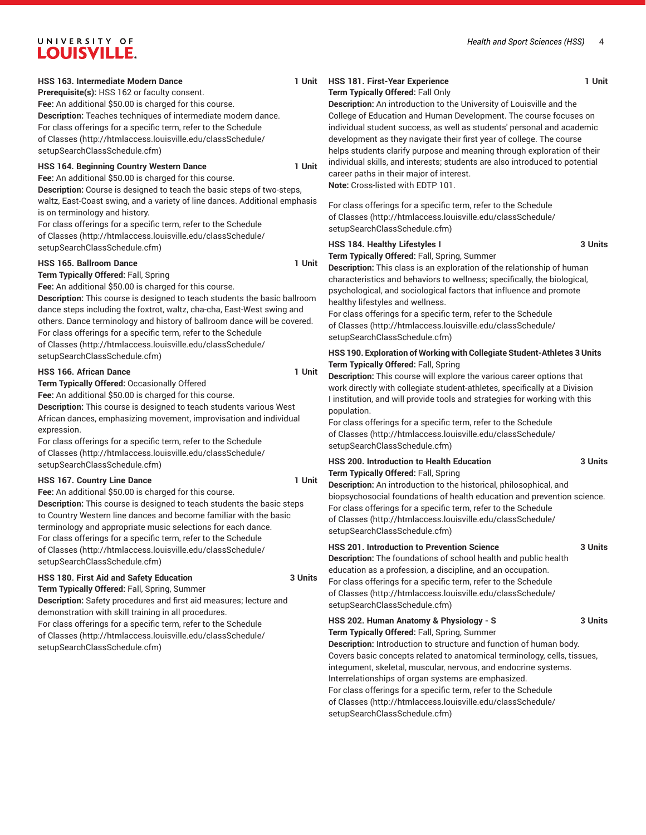#### **HSS 163. Intermediate Modern Dance**

**Prerequisite(s):** HSS 162 or faculty consent.

**Fee:** An additional \$50.00 is charged for this course. **Description:** Teaches techniques of intermediate modern dance. For class offerings for a specific term, refer to the [Schedule](http://htmlaccess.louisville.edu/classSchedule/setupSearchClassSchedule.cfm) [of Classes \(http://htmlaccess.louisville.edu/classSchedule/](http://htmlaccess.louisville.edu/classSchedule/setupSearchClassSchedule.cfm) [setupSearchClassSchedule.cfm\)](http://htmlaccess.louisville.edu/classSchedule/setupSearchClassSchedule.cfm)

#### **HSS 164. Beginning Country Western Dance 1 Unit**

**Fee:** An additional \$50.00 is charged for this course.

**Description:** Course is designed to teach the basic steps of two-steps, waltz, East-Coast swing, and a variety of line dances. Additional emphasis is on terminology and history.

For class offerings for a specific term, refer to the [Schedule](http://htmlaccess.louisville.edu/classSchedule/setupSearchClassSchedule.cfm) [of Classes \(http://htmlaccess.louisville.edu/classSchedule/](http://htmlaccess.louisville.edu/classSchedule/setupSearchClassSchedule.cfm) [setupSearchClassSchedule.cfm\)](http://htmlaccess.louisville.edu/classSchedule/setupSearchClassSchedule.cfm)

#### **HSS 165. Ballroom Dance** 1 Unit

**Term Typically Offered:** Fall, Spring

**Fee:** An additional \$50.00 is charged for this course.

**Description:** This course is designed to teach students the basic ballroom dance steps including the foxtrot, waltz, cha-cha, East-West swing and others. Dance terminology and history of ballroom dance will be covered. For class offerings for a specific term, refer to the [Schedule](http://htmlaccess.louisville.edu/classSchedule/setupSearchClassSchedule.cfm) [of Classes \(http://htmlaccess.louisville.edu/classSchedule/](http://htmlaccess.louisville.edu/classSchedule/setupSearchClassSchedule.cfm) [setupSearchClassSchedule.cfm\)](http://htmlaccess.louisville.edu/classSchedule/setupSearchClassSchedule.cfm)

#### **HSS 166. African Dance** 1 Unit

**Term Typically Offered:** Occasionally Offered

**Fee:** An additional \$50.00 is charged for this course.

**Description:** This course is designed to teach students various West African dances, emphasizing movement, improvisation and individual expression.

For class offerings for a specific term, refer to the [Schedule](http://htmlaccess.louisville.edu/classSchedule/setupSearchClassSchedule.cfm) [of Classes \(http://htmlaccess.louisville.edu/classSchedule/](http://htmlaccess.louisville.edu/classSchedule/setupSearchClassSchedule.cfm) [setupSearchClassSchedule.cfm\)](http://htmlaccess.louisville.edu/classSchedule/setupSearchClassSchedule.cfm)

#### **HSS 167. Country Line Dance 1 Unit**

**Fee:** An additional \$50.00 is charged for this course.

**Description:** This course is designed to teach students the basic steps to Country Western line dances and become familiar with the basic terminology and appropriate music selections for each dance. For class offerings for a specific term, refer to the [Schedule](http://htmlaccess.louisville.edu/classSchedule/setupSearchClassSchedule.cfm) [of Classes \(http://htmlaccess.louisville.edu/classSchedule/](http://htmlaccess.louisville.edu/classSchedule/setupSearchClassSchedule.cfm) [setupSearchClassSchedule.cfm\)](http://htmlaccess.louisville.edu/classSchedule/setupSearchClassSchedule.cfm)

#### **HSS 180. First Aid and Safety Education 3 Units**

**Term Typically Offered:** Fall, Spring, Summer **Description:** Safety procedures and first aid measures; lecture and demonstration with skill training in all procedures. For class offerings for a specific term, refer to the [Schedule](http://htmlaccess.louisville.edu/classSchedule/setupSearchClassSchedule.cfm) [of Classes \(http://htmlaccess.louisville.edu/classSchedule/](http://htmlaccess.louisville.edu/classSchedule/setupSearchClassSchedule.cfm) [setupSearchClassSchedule.cfm\)](http://htmlaccess.louisville.edu/classSchedule/setupSearchClassSchedule.cfm)

### **HSS 181. First-Year Experience 1 Unit**

### **Term Typically Offered:** Fall Only

**Description:** An introduction to the University of Louisville and the College of Education and Human Development. The course focuses on individual student success, as well as students' personal and academic development as they navigate their first year of college. The course helps students clarify purpose and meaning through exploration of their individual skills, and interests; students are also introduced to potential career paths in their major of interest. **Note:** Cross-listed with EDTP 101.

For class offerings for a specific term, refer to the [Schedule](http://htmlaccess.louisville.edu/classSchedule/setupSearchClassSchedule.cfm) [of Classes](http://htmlaccess.louisville.edu/classSchedule/setupSearchClassSchedule.cfm) ([http://htmlaccess.louisville.edu/classSchedule/](http://htmlaccess.louisville.edu/classSchedule/setupSearchClassSchedule.cfm) [setupSearchClassSchedule.cfm\)](http://htmlaccess.louisville.edu/classSchedule/setupSearchClassSchedule.cfm)

#### **HSS 184. Healthy Lifestyles I 3 Units**

**Term Typically Offered:** Fall, Spring, Summer

**Description:** This class is an exploration of the relationship of human characteristics and behaviors to wellness; specifically, the biological, psychological, and sociological factors that influence and promote healthy lifestyles and wellness.

For class offerings for a specific term, refer to the [Schedule](http://htmlaccess.louisville.edu/classSchedule/setupSearchClassSchedule.cfm) [of Classes](http://htmlaccess.louisville.edu/classSchedule/setupSearchClassSchedule.cfm) ([http://htmlaccess.louisville.edu/classSchedule/](http://htmlaccess.louisville.edu/classSchedule/setupSearchClassSchedule.cfm) [setupSearchClassSchedule.cfm\)](http://htmlaccess.louisville.edu/classSchedule/setupSearchClassSchedule.cfm)

#### **HSS 190. Exploration of Working with Collegiate Student-Athletes 3 Units Term Typically Offered:** Fall, Spring

**Description:** This course will explore the various career options that work directly with collegiate student-athletes, specifically at a Division I institution, and will provide tools and strategies for working with this population.

For class offerings for a specific term, refer to the [Schedule](http://htmlaccess.louisville.edu/classSchedule/setupSearchClassSchedule.cfm) [of Classes](http://htmlaccess.louisville.edu/classSchedule/setupSearchClassSchedule.cfm) ([http://htmlaccess.louisville.edu/classSchedule/](http://htmlaccess.louisville.edu/classSchedule/setupSearchClassSchedule.cfm) [setupSearchClassSchedule.cfm\)](http://htmlaccess.louisville.edu/classSchedule/setupSearchClassSchedule.cfm)

#### **HSS 200. Introduction to Health Education 3 Units Term Typically Offered:** Fall, Spring

**Description:** An introduction to the historical, philosophical, and biopsychosocial foundations of health education and prevention science. For class offerings for a specific term, refer to the [Schedule](http://htmlaccess.louisville.edu/classSchedule/setupSearchClassSchedule.cfm) [of Classes](http://htmlaccess.louisville.edu/classSchedule/setupSearchClassSchedule.cfm) ([http://htmlaccess.louisville.edu/classSchedule/](http://htmlaccess.louisville.edu/classSchedule/setupSearchClassSchedule.cfm) [setupSearchClassSchedule.cfm\)](http://htmlaccess.louisville.edu/classSchedule/setupSearchClassSchedule.cfm)

#### **HSS 201. Introduction to Prevention Science 3 Units**

**Description:** The foundations of school health and public health education as a profession, a discipline, and an occupation. For class offerings for a specific term, refer to the [Schedule](http://htmlaccess.louisville.edu/classSchedule/setupSearchClassSchedule.cfm) [of Classes](http://htmlaccess.louisville.edu/classSchedule/setupSearchClassSchedule.cfm) ([http://htmlaccess.louisville.edu/classSchedule/](http://htmlaccess.louisville.edu/classSchedule/setupSearchClassSchedule.cfm) [setupSearchClassSchedule.cfm\)](http://htmlaccess.louisville.edu/classSchedule/setupSearchClassSchedule.cfm)

#### **HSS 202. Human Anatomy & Physiology - S 3 Units**

**Term Typically Offered:** Fall, Spring, Summer **Description:** Introduction to structure and function of human body. Covers basic concepts related to anatomical terminology, cells, tissues, integument, skeletal, muscular, nervous, and endocrine systems. Interrelationships of organ systems are emphasized. For class offerings for a specific term, refer to the [Schedule](http://htmlaccess.louisville.edu/classSchedule/setupSearchClassSchedule.cfm) [of Classes](http://htmlaccess.louisville.edu/classSchedule/setupSearchClassSchedule.cfm) ([http://htmlaccess.louisville.edu/classSchedule/](http://htmlaccess.louisville.edu/classSchedule/setupSearchClassSchedule.cfm) [setupSearchClassSchedule.cfm\)](http://htmlaccess.louisville.edu/classSchedule/setupSearchClassSchedule.cfm)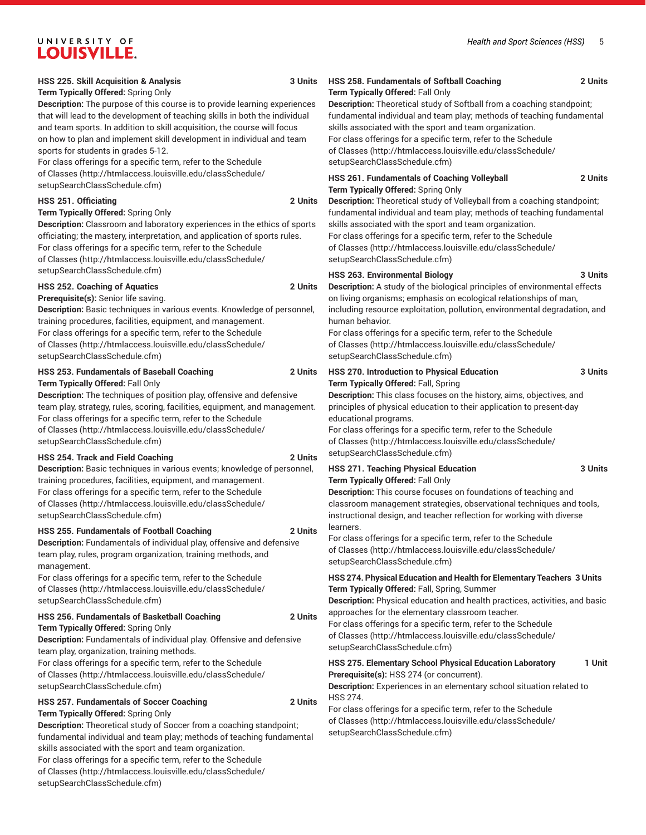### **Term Typically Offered:** Spring Only

**Description:** The purpose of this course is to provide learning experiences that will lead to the development of teaching skills in both the individual and team sports. In addition to skill acquisition, the course will focus on how to plan and implement skill development in individual and team sports for students in grades 5-12.

For class offerings for a specific term, refer to the [Schedule](http://htmlaccess.louisville.edu/classSchedule/setupSearchClassSchedule.cfm) [of Classes \(http://htmlaccess.louisville.edu/classSchedule/](http://htmlaccess.louisville.edu/classSchedule/setupSearchClassSchedule.cfm) [setupSearchClassSchedule.cfm\)](http://htmlaccess.louisville.edu/classSchedule/setupSearchClassSchedule.cfm)

#### **HSS 251. Officiating 2 Units**

#### **Term Typically Offered:** Spring Only

**Description:** Classroom and laboratory experiences in the ethics of sports officiating; the mastery, interpretation, and application of sports rules. For class offerings for a specific term, refer to the [Schedule](http://htmlaccess.louisville.edu/classSchedule/setupSearchClassSchedule.cfm) [of Classes \(http://htmlaccess.louisville.edu/classSchedule/](http://htmlaccess.louisville.edu/classSchedule/setupSearchClassSchedule.cfm) [setupSearchClassSchedule.cfm\)](http://htmlaccess.louisville.edu/classSchedule/setupSearchClassSchedule.cfm)

#### **HSS 252. Coaching of Aquatics 2 Units**

**Prerequisite(s):** Senior life saving.

**Description:** Basic techniques in various events. Knowledge of personnel, training procedures, facilities, equipment, and management. For class offerings for a specific term, refer to the [Schedule](http://htmlaccess.louisville.edu/classSchedule/setupSearchClassSchedule.cfm) [of Classes \(http://htmlaccess.louisville.edu/classSchedule/](http://htmlaccess.louisville.edu/classSchedule/setupSearchClassSchedule.cfm) [setupSearchClassSchedule.cfm\)](http://htmlaccess.louisville.edu/classSchedule/setupSearchClassSchedule.cfm)

#### **HSS 253. Fundamentals of Baseball Coaching 2 Units Term Typically Offered:** Fall Only

**Description:** The techniques of position play, offensive and defensive team play, strategy, rules, scoring, facilities, equipment, and management. For class offerings for a specific term, refer to the [Schedule](http://htmlaccess.louisville.edu/classSchedule/setupSearchClassSchedule.cfm) [of Classes \(http://htmlaccess.louisville.edu/classSchedule/](http://htmlaccess.louisville.edu/classSchedule/setupSearchClassSchedule.cfm) [setupSearchClassSchedule.cfm\)](http://htmlaccess.louisville.edu/classSchedule/setupSearchClassSchedule.cfm)

#### **HSS 254. Track and Field Coaching 2 Units**

**Description:** Basic techniques in various events; knowledge of personnel, training procedures, facilities, equipment, and management. For class offerings for a specific term, refer to the [Schedule](http://htmlaccess.louisville.edu/classSchedule/setupSearchClassSchedule.cfm) [of Classes \(http://htmlaccess.louisville.edu/classSchedule/](http://htmlaccess.louisville.edu/classSchedule/setupSearchClassSchedule.cfm) [setupSearchClassSchedule.cfm\)](http://htmlaccess.louisville.edu/classSchedule/setupSearchClassSchedule.cfm)

#### **HSS 255. Fundamentals of Football Coaching 2 Units**

**Description:** Fundamentals of individual play, offensive and defensive team play, rules, program organization, training methods, and management.

For class offerings for a specific term, refer to the [Schedule](http://htmlaccess.louisville.edu/classSchedule/setupSearchClassSchedule.cfm) [of Classes \(http://htmlaccess.louisville.edu/classSchedule/](http://htmlaccess.louisville.edu/classSchedule/setupSearchClassSchedule.cfm) [setupSearchClassSchedule.cfm\)](http://htmlaccess.louisville.edu/classSchedule/setupSearchClassSchedule.cfm)

#### **HSS 256. Fundamentals of Basketball Coaching 2 Units**

**Term Typically Offered:** Spring Only

**Description:** Fundamentals of individual play. Offensive and defensive team play, organization, training methods.

For class offerings for a specific term, refer to the [Schedule](http://htmlaccess.louisville.edu/classSchedule/setupSearchClassSchedule.cfm) [of Classes \(http://htmlaccess.louisville.edu/classSchedule/](http://htmlaccess.louisville.edu/classSchedule/setupSearchClassSchedule.cfm) [setupSearchClassSchedule.cfm\)](http://htmlaccess.louisville.edu/classSchedule/setupSearchClassSchedule.cfm)

#### **HSS 257. Fundamentals of Soccer Coaching 2 Units Term Typically Offered:** Spring Only

**Description:** Theoretical study of Soccer from a coaching standpoint; fundamental individual and team play; methods of teaching fundamental skills associated with the sport and team organization. For class offerings for a specific term, refer to the [Schedule](http://htmlaccess.louisville.edu/classSchedule/setupSearchClassSchedule.cfm)

[of Classes \(http://htmlaccess.louisville.edu/classSchedule/](http://htmlaccess.louisville.edu/classSchedule/setupSearchClassSchedule.cfm) [setupSearchClassSchedule.cfm\)](http://htmlaccess.louisville.edu/classSchedule/setupSearchClassSchedule.cfm)

#### **HSS 258. Fundamentals of Softball Coaching 2 Units Term Typically Offered:** Fall Only

**Description:** Theoretical study of Softball from a coaching standpoint; fundamental individual and team play; methods of teaching fundamental skills associated with the sport and team organization.

For class offerings for a specific term, refer to the [Schedule](http://htmlaccess.louisville.edu/classSchedule/setupSearchClassSchedule.cfm) [of Classes](http://htmlaccess.louisville.edu/classSchedule/setupSearchClassSchedule.cfm) ([http://htmlaccess.louisville.edu/classSchedule/](http://htmlaccess.louisville.edu/classSchedule/setupSearchClassSchedule.cfm) [setupSearchClassSchedule.cfm\)](http://htmlaccess.louisville.edu/classSchedule/setupSearchClassSchedule.cfm)

#### **HSS 261. Fundamentals of Coaching Volleyball 2 Units Term Typically Offered:** Spring Only

**Description:** Theoretical study of Volleyball from a coaching standpoint; fundamental individual and team play; methods of teaching fundamental skills associated with the sport and team organization. For class offerings for a specific term, refer to the [Schedule](http://htmlaccess.louisville.edu/classSchedule/setupSearchClassSchedule.cfm) [of Classes](http://htmlaccess.louisville.edu/classSchedule/setupSearchClassSchedule.cfm) ([http://htmlaccess.louisville.edu/classSchedule/](http://htmlaccess.louisville.edu/classSchedule/setupSearchClassSchedule.cfm) [setupSearchClassSchedule.cfm\)](http://htmlaccess.louisville.edu/classSchedule/setupSearchClassSchedule.cfm)

#### **HSS 263. Environmental Biology 3 Units**

**Description:** A study of the biological principles of environmental effects on living organisms; emphasis on ecological relationships of man, including resource exploitation, pollution, environmental degradation, and human behavior.

For class offerings for a specific term, refer to the [Schedule](http://htmlaccess.louisville.edu/classSchedule/setupSearchClassSchedule.cfm) [of Classes](http://htmlaccess.louisville.edu/classSchedule/setupSearchClassSchedule.cfm) ([http://htmlaccess.louisville.edu/classSchedule/](http://htmlaccess.louisville.edu/classSchedule/setupSearchClassSchedule.cfm) [setupSearchClassSchedule.cfm\)](http://htmlaccess.louisville.edu/classSchedule/setupSearchClassSchedule.cfm)

| <b>HSS 270. Introduction to Physical Education</b>                           | 3 Units |
|------------------------------------------------------------------------------|---------|
| <b>Term Typically Offered: Fall, Spring</b>                                  |         |
| <b>Description:</b> This class focuses on the history, aims, objectives, and |         |
| principles of physical education to their application to present-day         |         |

educational programs.

For class offerings for a specific term, refer to the [Schedule](http://htmlaccess.louisville.edu/classSchedule/setupSearchClassSchedule.cfm) [of Classes](http://htmlaccess.louisville.edu/classSchedule/setupSearchClassSchedule.cfm) ([http://htmlaccess.louisville.edu/classSchedule/](http://htmlaccess.louisville.edu/classSchedule/setupSearchClassSchedule.cfm) [setupSearchClassSchedule.cfm\)](http://htmlaccess.louisville.edu/classSchedule/setupSearchClassSchedule.cfm)

#### **HSS 271. Teaching Physical Education 3 Units Term Typically Offered:** Fall Only

**Description:** This course focuses on foundations of teaching and classroom management strategies, observational techniques and tools, instructional design, and teacher reflection for working with diverse learners.

For class offerings for a specific term, refer to the [Schedule](http://htmlaccess.louisville.edu/classSchedule/setupSearchClassSchedule.cfm) [of Classes](http://htmlaccess.louisville.edu/classSchedule/setupSearchClassSchedule.cfm) ([http://htmlaccess.louisville.edu/classSchedule/](http://htmlaccess.louisville.edu/classSchedule/setupSearchClassSchedule.cfm) [setupSearchClassSchedule.cfm\)](http://htmlaccess.louisville.edu/classSchedule/setupSearchClassSchedule.cfm)

#### **HSS 274. Physical Education and Health for Elementary Teachers 3 Units Term Typically Offered:** Fall, Spring, Summer

**Description:** Physical education and health practices, activities, and basic approaches for the elementary classroom teacher.

For class offerings for a specific term, refer to the [Schedule](http://htmlaccess.louisville.edu/classSchedule/setupSearchClassSchedule.cfm) [of Classes](http://htmlaccess.louisville.edu/classSchedule/setupSearchClassSchedule.cfm) ([http://htmlaccess.louisville.edu/classSchedule/](http://htmlaccess.louisville.edu/classSchedule/setupSearchClassSchedule.cfm) [setupSearchClassSchedule.cfm\)](http://htmlaccess.louisville.edu/classSchedule/setupSearchClassSchedule.cfm)

#### **HSS 275. Elementary School Physical Education Laboratory 1 Unit Prerequisite(s):** HSS 274 (or concurrent).

**Description:** Experiences in an elementary school situation related to HSS 274.

For class offerings for a specific term, refer to the [Schedule](http://htmlaccess.louisville.edu/classSchedule/setupSearchClassSchedule.cfm) [of Classes](http://htmlaccess.louisville.edu/classSchedule/setupSearchClassSchedule.cfm) ([http://htmlaccess.louisville.edu/classSchedule/](http://htmlaccess.louisville.edu/classSchedule/setupSearchClassSchedule.cfm) [setupSearchClassSchedule.cfm\)](http://htmlaccess.louisville.edu/classSchedule/setupSearchClassSchedule.cfm)

#### *Health and Sport Sciences (HSS)* 5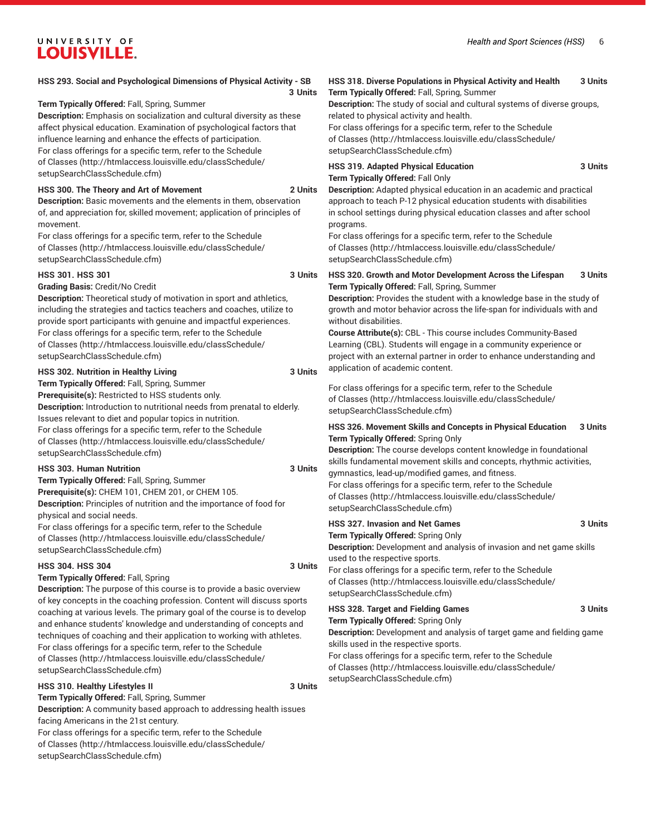| HSS 293. Social and Psychological Dimensions of Physical Activity - SB                                                                                                                                                                                                                                                                                                                                                                                                              | HSS 318. Diverse Populations in Physical Activity and Health<br>3 Units                                                                                                                                                                                                                                                                                                                                                                                                                                               |  |
|-------------------------------------------------------------------------------------------------------------------------------------------------------------------------------------------------------------------------------------------------------------------------------------------------------------------------------------------------------------------------------------------------------------------------------------------------------------------------------------|-----------------------------------------------------------------------------------------------------------------------------------------------------------------------------------------------------------------------------------------------------------------------------------------------------------------------------------------------------------------------------------------------------------------------------------------------------------------------------------------------------------------------|--|
| 3 Units<br>Term Typically Offered: Fall, Spring, Summer<br>Description: Emphasis on socialization and cultural diversity as these<br>affect physical education. Examination of psychological factors that<br>influence learning and enhance the effects of participation.<br>For class offerings for a specific term, refer to the Schedule                                                                                                                                         | Term Typically Offered: Fall, Spring, Summer<br>Description: The study of social and cultural systems of diverse groups,<br>related to physical activity and health.<br>For class offerings for a specific term, refer to the Schedule<br>of Classes (http://htmlaccess.louisville.edu/classSchedule/<br>setupSearchClassSchedule.cfm)                                                                                                                                                                                |  |
| of Classes (http://htmlaccess.louisville.edu/classSchedule/<br>setupSearchClassSchedule.cfm)<br>HSS 300. The Theory and Art of Movement<br>2 Units<br>Description: Basic movements and the elements in them, observation<br>of, and appreciation for, skilled movement; application of principles of<br>movement.<br>For class offerings for a specific term, refer to the Schedule<br>of Classes (http://htmlaccess.louisville.edu/classSchedule/<br>setupSearchClassSchedule.cfm) | <b>HSS 319. Adapted Physical Education</b><br>3 Units<br>Term Typically Offered: Fall Only<br>Description: Adapted physical education in an academic and practical<br>approach to teach P-12 physical education students with disabilities<br>in school settings during physical education classes and after school<br>programs.<br>For class offerings for a specific term, refer to the Schedule<br>of Classes (http://htmlaccess.louisville.edu/classSchedule/<br>setupSearchClassSchedule.cfm)                    |  |
| <b>HSS 301. HSS 301</b><br>3 Units<br>Grading Basis: Credit/No Credit<br>Description: Theoretical study of motivation in sport and athletics,<br>including the strategies and tactics teachers and coaches, utilize to<br>provide sport participants with genuine and impactful experiences.<br>For class offerings for a specific term, refer to the Schedule<br>of Classes (http://htmlaccess.louisville.edu/classSchedule/<br>setupSearchClassSchedule.cfm)                      | HSS 320. Growth and Motor Development Across the Lifespan<br>3 Units<br>Term Typically Offered: Fall, Spring, Summer<br>Description: Provides the student with a knowledge base in the study of<br>growth and motor behavior across the life-span for individuals with and<br>without disabilities.<br>Course Attribute(s): CBL - This course includes Community-Based<br>Learning (CBL). Students will engage in a community experience or<br>project with an external partner in order to enhance understanding and |  |
| HSS 302. Nutrition in Healthy Living<br>3 Units<br>Term Typically Offered: Fall, Spring, Summer<br>Prerequisite(s): Restricted to HSS students only.<br>Description: Introduction to nutritional needs from prenatal to elderly.<br>Issues relevant to diet and popular topics in nutrition.<br>For class offerings for a specific term, refer to the Schedule<br>of Classes (http://htmlaccess.louisville.edu/classSchedule/<br>setupSearchClassSchedule.cfm)                      | application of academic content.<br>For class offerings for a specific term, refer to the Schedule<br>of Classes (http://htmlaccess.louisville.edu/classSchedule/<br>setupSearchClassSchedule.cfm)<br>HSS 326. Movement Skills and Concepts in Physical Education<br>3 Units<br>Term Typically Offered: Spring Only<br>Description: The course develops content knowledge in foundational                                                                                                                             |  |
| HSS 303. Human Nutrition<br>3 Units<br>Term Typically Offered: Fall, Spring, Summer<br>Prerequisite(s): CHEM 101, CHEM 201, or CHEM 105.<br>Description: Principles of nutrition and the importance of food for                                                                                                                                                                                                                                                                     | skills fundamental movement skills and concepts, rhythmic activities,<br>gymnastics, lead-up/modified games, and fitness.<br>For class offerings for a specific term, refer to the Schedule<br>of Classes (http://htmlaccess.louisville.edu/classSchedule/<br>setupSearchClassSchedule.cfm)                                                                                                                                                                                                                           |  |
| physical and social needs.<br>For class offerings for a specific term, refer to the Schedule<br>of Classes (http://htmlaccess.louisville.edu/classSchedule/<br>setupSearchClassSchedule.cfm)                                                                                                                                                                                                                                                                                        | <b>HSS 327. Invasion and Net Games</b><br>3 Units<br>Term Typically Offered: Spring Only<br>Description: Development and analysis of invasion and net game skills                                                                                                                                                                                                                                                                                                                                                     |  |
| <b>HSS 304. HSS 304</b><br>3 Units<br>Term Typically Offered: Fall, Spring<br>Description: The purpose of this course is to provide a basic overview                                                                                                                                                                                                                                                                                                                                | used to the respective sports.<br>For class offerings for a specific term, refer to the Schedule<br>of Classes (http://htmlaccess.louisville.edu/classSchedule/<br>setupSearchClassSchedule.cfm)                                                                                                                                                                                                                                                                                                                      |  |
| of key concepts in the coaching profession. Content will discuss sports<br>coaching at various levels. The primary goal of the course is to develop<br>and enhance students' knowledge and understanding of concepts and<br>techniques of coaching and their application to working with athletes.<br>For class offerings for a specific term, refer to the Schedule<br>of Classes (http://htmlaccess.louisville.edu/classSchedule/                                                 | HSS 328. Target and Fielding Games<br>3 Units<br>Term Typically Offered: Spring Only<br>Description: Development and analysis of target game and fielding game<br>skills used in the respective sports.<br>For class offerings for a specific term, refer to the Schedule                                                                                                                                                                                                                                             |  |

[setupSearchClassSchedule.cfm\)](http://htmlaccess.louisville.edu/classSchedule/setupSearchClassSchedule.cfm)

### **HSS 310. Healthy Lifestyles II** 3 Units

[of Classes](http://htmlaccess.louisville.edu/classSchedule/setupSearchClassSchedule.cfm) ([http://htmlaccess.louisville.edu/classSchedule/](http://htmlaccess.louisville.edu/classSchedule/setupSearchClassSchedule.cfm)

[setupSearchClassSchedule.cfm\)](http://htmlaccess.louisville.edu/classSchedule/setupSearchClassSchedule.cfm)

**Term Typically Offered:** Fall, Spring, Summer **Description:** A community based approach to addressing health issues facing Americans in the 21st century. For class offerings for a specific term, refer to the [Schedule](http://htmlaccess.louisville.edu/classSchedule/setupSearchClassSchedule.cfm) [of Classes \(http://htmlaccess.louisville.edu/classSchedule/](http://htmlaccess.louisville.edu/classSchedule/setupSearchClassSchedule.cfm) [setupSearchClassSchedule.cfm\)](http://htmlaccess.louisville.edu/classSchedule/setupSearchClassSchedule.cfm)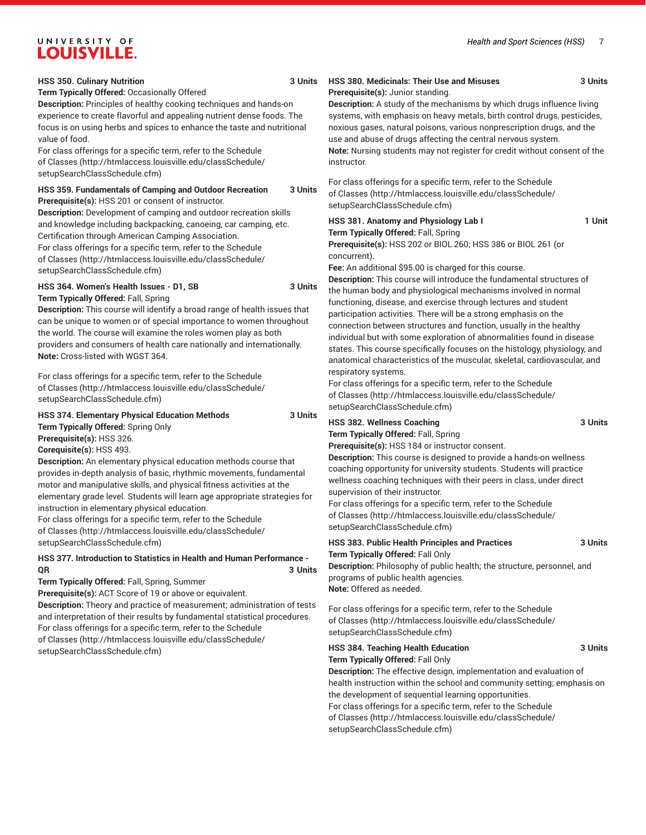#### **HSS 350. Culinary Nutrition 3 Units**

#### **Term Typically Offered:** Occasionally Offered

**Description:** Principles of healthy cooking techniques and hands-on experience to create flavorful and appealing nutrient dense foods. The focus is on using herbs and spices to enhance the taste and nutritional value of food.

For class offerings for a specific term, refer to the [Schedule](http://htmlaccess.louisville.edu/classSchedule/setupSearchClassSchedule.cfm) [of Classes \(http://htmlaccess.louisville.edu/classSchedule/](http://htmlaccess.louisville.edu/classSchedule/setupSearchClassSchedule.cfm) [setupSearchClassSchedule.cfm\)](http://htmlaccess.louisville.edu/classSchedule/setupSearchClassSchedule.cfm)

#### **HSS 359. Fundamentals of Camping and Outdoor Recreation 3 Units Prerequisite(s):** HSS 201 or consent of instructor.

**Description:** Development of camping and outdoor recreation skills and knowledge including backpacking, canoeing, car camping, etc. Certification through American Camping Association.

For class offerings for a specific term, refer to the [Schedule](http://htmlaccess.louisville.edu/classSchedule/setupSearchClassSchedule.cfm) [of Classes \(http://htmlaccess.louisville.edu/classSchedule/](http://htmlaccess.louisville.edu/classSchedule/setupSearchClassSchedule.cfm) [setupSearchClassSchedule.cfm\)](http://htmlaccess.louisville.edu/classSchedule/setupSearchClassSchedule.cfm)

#### **HSS 364. Women's Health Issues - D1, SB 3 Units**

**Term Typically Offered:** Fall, Spring

**Description:** This course will identify a broad range of health issues that can be unique to women or of special importance to women throughout the world. The course will examine the roles women play as both providers and consumers of health care nationally and internationally. **Note:** Cross-listed with WGST 364.

For class offerings for a specific term, refer to the [Schedule](http://htmlaccess.louisville.edu/classSchedule/setupSearchClassSchedule.cfm) [of Classes \(http://htmlaccess.louisville.edu/classSchedule/](http://htmlaccess.louisville.edu/classSchedule/setupSearchClassSchedule.cfm) [setupSearchClassSchedule.cfm\)](http://htmlaccess.louisville.edu/classSchedule/setupSearchClassSchedule.cfm)

#### **HSS 374. Elementary Physical Education Methods 3 Units Term Typically Offered:** Spring Only

**Prerequisite(s):** HSS 326.

**Corequisite(s):** HSS 493.

**Description:** An elementary physical education methods course that provides in-depth analysis of basic, rhythmic movements, fundamental motor and manipulative skills, and physical fitness activities at the elementary grade level. Students will learn age appropriate strategies for instruction in elementary physical education.

For class offerings for a specific term, refer to the [Schedule](http://htmlaccess.louisville.edu/classSchedule/setupSearchClassSchedule.cfm) [of Classes \(http://htmlaccess.louisville.edu/classSchedule/](http://htmlaccess.louisville.edu/classSchedule/setupSearchClassSchedule.cfm) [setupSearchClassSchedule.cfm\)](http://htmlaccess.louisville.edu/classSchedule/setupSearchClassSchedule.cfm)

#### **HSS 377. Introduction to Statistics in Health and Human Performance - QR 3 Units**

**Term Typically Offered:** Fall, Spring, Summer **Prerequisite(s):** ACT Score of 19 or above or equivalent.

**Description:** Theory and practice of measurement; administration of tests and interpretation of their results by fundamental statistical procedures. For class offerings for a specific term, refer to the [Schedule](http://htmlaccess.louisville.edu/classSchedule/setupSearchClassSchedule.cfm) [of Classes \(http://htmlaccess.louisville.edu/classSchedule/](http://htmlaccess.louisville.edu/classSchedule/setupSearchClassSchedule.cfm) [setupSearchClassSchedule.cfm\)](http://htmlaccess.louisville.edu/classSchedule/setupSearchClassSchedule.cfm)

#### **HSS 380. Medicinals: Their Use and Misuses 3 Units Prerequisite(s):** Junior standing.

**Description:** A study of the mechanisms by which drugs influence living systems, with emphasis on heavy metals, birth control drugs, pesticides, noxious gases, natural poisons, various nonprescription drugs, and the use and abuse of drugs affecting the central nervous system. **Note:** Nursing students may not register for credit without consent of the instructor.

For class offerings for a specific term, refer to the [Schedule](http://htmlaccess.louisville.edu/classSchedule/setupSearchClassSchedule.cfm) [of Classes](http://htmlaccess.louisville.edu/classSchedule/setupSearchClassSchedule.cfm) ([http://htmlaccess.louisville.edu/classSchedule/](http://htmlaccess.louisville.edu/classSchedule/setupSearchClassSchedule.cfm) [setupSearchClassSchedule.cfm\)](http://htmlaccess.louisville.edu/classSchedule/setupSearchClassSchedule.cfm)

#### HSS 381. Anatomy and Physiology Lab I 1 1 Unit **Term Typically Offered:** Fall, Spring

**Prerequisite(s):** HSS 202 or BIOL 260; HSS 386 or BIOL 261 (or concurrent).

**Fee:** An additional \$95.00 is charged for this course.

**Description:** This course will introduce the fundamental structures of the human body and physiological mechanisms involved in normal functioning, disease, and exercise through lectures and student participation activities. There will be a strong emphasis on the connection between structures and function, usually in the healthy individual but with some exploration of abnormalities found in disease states. This course specifically focuses on the histology, physiology, and anatomical characteristics of the muscular, skeletal, cardiovascular, and respiratory systems.

For class offerings for a specific term, refer to the [Schedule](http://htmlaccess.louisville.edu/classSchedule/setupSearchClassSchedule.cfm) [of Classes](http://htmlaccess.louisville.edu/classSchedule/setupSearchClassSchedule.cfm) ([http://htmlaccess.louisville.edu/classSchedule/](http://htmlaccess.louisville.edu/classSchedule/setupSearchClassSchedule.cfm) [setupSearchClassSchedule.cfm\)](http://htmlaccess.louisville.edu/classSchedule/setupSearchClassSchedule.cfm)

## **HSS 382. Wellness Coaching 3 Units**

**Term Typically Offered:** Fall, Spring **Prerequisite(s):** HSS 184 or instructor consent.

**Description:** This course is designed to provide a hands-on wellness coaching opportunity for university students. Students will practice wellness coaching techniques with their peers in class, under direct supervision of their instructor.

For class offerings for a specific term, refer to the [Schedule](http://htmlaccess.louisville.edu/classSchedule/setupSearchClassSchedule.cfm) [of Classes](http://htmlaccess.louisville.edu/classSchedule/setupSearchClassSchedule.cfm) ([http://htmlaccess.louisville.edu/classSchedule/](http://htmlaccess.louisville.edu/classSchedule/setupSearchClassSchedule.cfm) [setupSearchClassSchedule.cfm\)](http://htmlaccess.louisville.edu/classSchedule/setupSearchClassSchedule.cfm)

#### **HSS 383. Public Health Principles and Practices 3 Units Term Typically Offered:** Fall Only

**Description:** Philosophy of public health; the structure, personnel, and programs of public health agencies. **Note:** Offered as needed.

For class offerings for a specific term, refer to the [Schedule](http://htmlaccess.louisville.edu/classSchedule/setupSearchClassSchedule.cfm) [of Classes](http://htmlaccess.louisville.edu/classSchedule/setupSearchClassSchedule.cfm) ([http://htmlaccess.louisville.edu/classSchedule/](http://htmlaccess.louisville.edu/classSchedule/setupSearchClassSchedule.cfm) [setupSearchClassSchedule.cfm\)](http://htmlaccess.louisville.edu/classSchedule/setupSearchClassSchedule.cfm)

**HSS 384. Teaching Health Education 3 Units Term Typically Offered:** Fall Only **Description:** The effective design, implementation and evaluation of health instruction within the school and community setting; emphasis on the development of sequential learning opportunities. For class offerings for a specific term, refer to the [Schedule](http://htmlaccess.louisville.edu/classSchedule/setupSearchClassSchedule.cfm) [of Classes](http://htmlaccess.louisville.edu/classSchedule/setupSearchClassSchedule.cfm) ([http://htmlaccess.louisville.edu/classSchedule/](http://htmlaccess.louisville.edu/classSchedule/setupSearchClassSchedule.cfm) [setupSearchClassSchedule.cfm\)](http://htmlaccess.louisville.edu/classSchedule/setupSearchClassSchedule.cfm)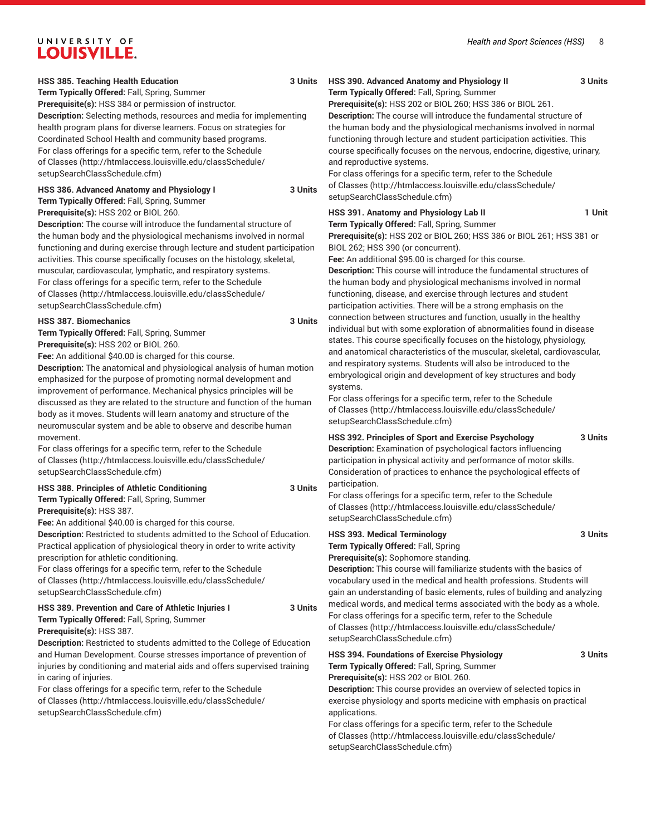#### **HSS 385. Teaching Health Education 3 Units**

**Term Typically Offered:** Fall, Spring, Summer

**Prerequisite(s):** HSS 384 or permission of instructor. **Description:** Selecting methods, resources and media for implementing health program plans for diverse learners. Focus on strategies for Coordinated School Health and community based programs. For class offerings for a specific term, refer to the [Schedule](http://htmlaccess.louisville.edu/classSchedule/setupSearchClassSchedule.cfm) [of Classes \(http://htmlaccess.louisville.edu/classSchedule/](http://htmlaccess.louisville.edu/classSchedule/setupSearchClassSchedule.cfm) [setupSearchClassSchedule.cfm\)](http://htmlaccess.louisville.edu/classSchedule/setupSearchClassSchedule.cfm)

#### **HSS 386. Advanced Anatomy and Physiology I 3 Units Term Typically Offered:** Fall, Spring, Summer

**Prerequisite(s):** HSS 202 or BIOL 260.

**Description:** The course will introduce the fundamental structure of the human body and the physiological mechanisms involved in normal functioning and during exercise through lecture and student participation activities. This course specifically focuses on the histology, skeletal, muscular, cardiovascular, lymphatic, and respiratory systems. For class offerings for a specific term, refer to the [Schedule](http://htmlaccess.louisville.edu/classSchedule/setupSearchClassSchedule.cfm) [of Classes \(http://htmlaccess.louisville.edu/classSchedule/](http://htmlaccess.louisville.edu/classSchedule/setupSearchClassSchedule.cfm) [setupSearchClassSchedule.cfm\)](http://htmlaccess.louisville.edu/classSchedule/setupSearchClassSchedule.cfm)

#### **HSS 387. Biomechanics 3 Units**

**Term Typically Offered:** Fall, Spring, Summer **Prerequisite(s):** HSS 202 or BIOL 260.

**Fee:** An additional \$40.00 is charged for this course.

**Description:** The anatomical and physiological analysis of human motion emphasized for the purpose of promoting normal development and improvement of performance. Mechanical physics principles will be discussed as they are related to the structure and function of the human body as it moves. Students will learn anatomy and structure of the neuromuscular system and be able to observe and describe human movement.

For class offerings for a specific term, refer to the [Schedule](http://htmlaccess.louisville.edu/classSchedule/setupSearchClassSchedule.cfm) [of Classes \(http://htmlaccess.louisville.edu/classSchedule/](http://htmlaccess.louisville.edu/classSchedule/setupSearchClassSchedule.cfm) [setupSearchClassSchedule.cfm\)](http://htmlaccess.louisville.edu/classSchedule/setupSearchClassSchedule.cfm)

#### **HSS 388. Principles of Athletic Conditioning 3 Units Term Typically Offered:** Fall, Spring, Summer

**Prerequisite(s):** HSS 387.

**Fee:** An additional \$40.00 is charged for this course.

**Description:** Restricted to students admitted to the School of Education. Practical application of physiological theory in order to write activity prescription for athletic conditioning.

For class offerings for a specific term, refer to the [Schedule](http://htmlaccess.louisville.edu/classSchedule/setupSearchClassSchedule.cfm) [of Classes \(http://htmlaccess.louisville.edu/classSchedule/](http://htmlaccess.louisville.edu/classSchedule/setupSearchClassSchedule.cfm) [setupSearchClassSchedule.cfm\)](http://htmlaccess.louisville.edu/classSchedule/setupSearchClassSchedule.cfm)

#### **HSS 389. Prevention and Care of Athletic Injuries I 3 Units Term Typically Offered:** Fall, Spring, Summer

**Prerequisite(s):** HSS 387.

**Description:** Restricted to students admitted to the College of Education and Human Development. Course stresses importance of prevention of injuries by conditioning and material aids and offers supervised training in caring of injuries.

For class offerings for a specific term, refer to the [Schedule](http://htmlaccess.louisville.edu/classSchedule/setupSearchClassSchedule.cfm) [of Classes \(http://htmlaccess.louisville.edu/classSchedule/](http://htmlaccess.louisville.edu/classSchedule/setupSearchClassSchedule.cfm) [setupSearchClassSchedule.cfm\)](http://htmlaccess.louisville.edu/classSchedule/setupSearchClassSchedule.cfm)

#### **HSS 390. Advanced Anatomy and Physiology II 3 Units Term Typically Offered:** Fall, Spring, Summer

**Prerequisite(s):** HSS 202 or BIOL 260; HSS 386 or BIOL 261. **Description:** The course will introduce the fundamental structure of the human body and the physiological mechanisms involved in normal functioning through lecture and student participation activities. This course specifically focuses on the nervous, endocrine, digestive, urinary, and reproductive systems.

For class offerings for a specific term, refer to the [Schedule](http://htmlaccess.louisville.edu/classSchedule/setupSearchClassSchedule.cfm) [of Classes](http://htmlaccess.louisville.edu/classSchedule/setupSearchClassSchedule.cfm) ([http://htmlaccess.louisville.edu/classSchedule/](http://htmlaccess.louisville.edu/classSchedule/setupSearchClassSchedule.cfm) [setupSearchClassSchedule.cfm\)](http://htmlaccess.louisville.edu/classSchedule/setupSearchClassSchedule.cfm)

#### HSS 391. Anatomy and Physiology Lab II 1 1 Unit

**Term Typically Offered:** Fall, Spring, Summer **Prerequisite(s):** HSS 202 or BIOL 260; HSS 386 or BIOL 261; HSS 381 or BIOL 262; HSS 390 (or concurrent).

**Fee:** An additional \$95.00 is charged for this course. **Description:** This course will introduce the fundamental structures of

the human body and physiological mechanisms involved in normal functioning, disease, and exercise through lectures and student participation activities. There will be a strong emphasis on the connection between structures and function, usually in the healthy individual but with some exploration of abnormalities found in disease states. This course specifically focuses on the histology, physiology, and anatomical characteristics of the muscular, skeletal, cardiovascular, and respiratory systems. Students will also be introduced to the embryological origin and development of key structures and body systems.

For class offerings for a specific term, refer to the [Schedule](http://htmlaccess.louisville.edu/classSchedule/setupSearchClassSchedule.cfm) [of Classes](http://htmlaccess.louisville.edu/classSchedule/setupSearchClassSchedule.cfm) ([http://htmlaccess.louisville.edu/classSchedule/](http://htmlaccess.louisville.edu/classSchedule/setupSearchClassSchedule.cfm) [setupSearchClassSchedule.cfm\)](http://htmlaccess.louisville.edu/classSchedule/setupSearchClassSchedule.cfm)

#### **HSS 392. Principles of Sport and Exercise Psychology 3 Units**

**Description:** Examination of psychological factors influencing participation in physical activity and performance of motor skills. Consideration of practices to enhance the psychological effects of participation.

For class offerings for a specific term, refer to the [Schedule](http://htmlaccess.louisville.edu/classSchedule/setupSearchClassSchedule.cfm) [of Classes](http://htmlaccess.louisville.edu/classSchedule/setupSearchClassSchedule.cfm) ([http://htmlaccess.louisville.edu/classSchedule/](http://htmlaccess.louisville.edu/classSchedule/setupSearchClassSchedule.cfm) [setupSearchClassSchedule.cfm\)](http://htmlaccess.louisville.edu/classSchedule/setupSearchClassSchedule.cfm)

**HSS 393. Medical Terminology 3 Units Term Typically Offered:** Fall, Spring

**Prerequisite(s):** Sophomore standing.

**Description:** This course will familiarize students with the basics of vocabulary used in the medical and health professions. Students will gain an understanding of basic elements, rules of building and analyzing medical words, and medical terms associated with the body as a whole. For class offerings for a specific term, refer to the [Schedule](http://htmlaccess.louisville.edu/classSchedule/setupSearchClassSchedule.cfm) [of Classes](http://htmlaccess.louisville.edu/classSchedule/setupSearchClassSchedule.cfm) ([http://htmlaccess.louisville.edu/classSchedule/](http://htmlaccess.louisville.edu/classSchedule/setupSearchClassSchedule.cfm) [setupSearchClassSchedule.cfm\)](http://htmlaccess.louisville.edu/classSchedule/setupSearchClassSchedule.cfm)

| <b>HSS 394. Foundations of Exercise Physiology</b>                         | 3 Units |
|----------------------------------------------------------------------------|---------|
| Term Typically Offered: Fall, Spring, Summer                               |         |
| Prerequisite(s): HSS 202 or BIOL 260.                                      |         |
| <b>Description:</b> This course provides an overview of selected topics in |         |
| exercise physiology and sports medicine with emphasis on practical         |         |
| applications.                                                              |         |
| For class offerings for a specific term, refer to the Schedule             |         |
| of Classes (http://htmlaccess.louisville.edu/classSchedule/                |         |

[setupSearchClassSchedule.cfm\)](http://htmlaccess.louisville.edu/classSchedule/setupSearchClassSchedule.cfm)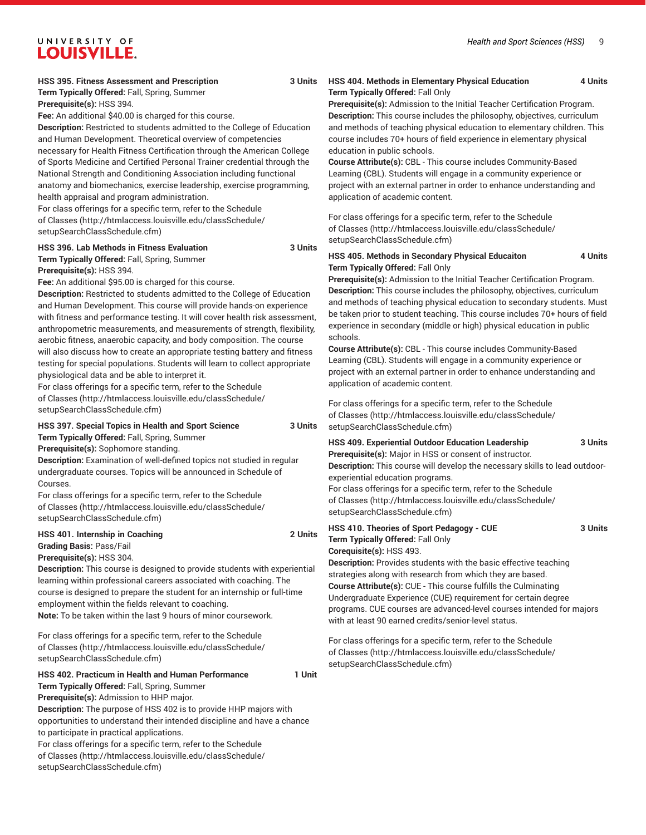| HSS 395. Fitness Assessment and Prescription | 3 Units |
|----------------------------------------------|---------|
|                                              |         |

**Term Typically Offered:** Fall, Spring, Summer

**Prerequisite(s):** HSS 394.

**Fee:** An additional \$40.00 is charged for this course.

**Description:** Restricted to students admitted to the College of Education and Human Development. Theoretical overview of competencies necessary for Health Fitness Certification through the American College of Sports Medicine and Certified Personal Trainer credential through the National Strength and Conditioning Association including functional anatomy and biomechanics, exercise leadership, exercise programming, health appraisal and program administration.

For class offerings for a specific term, refer to the [Schedule](http://htmlaccess.louisville.edu/classSchedule/setupSearchClassSchedule.cfm) [of Classes \(http://htmlaccess.louisville.edu/classSchedule/](http://htmlaccess.louisville.edu/classSchedule/setupSearchClassSchedule.cfm) [setupSearchClassSchedule.cfm\)](http://htmlaccess.louisville.edu/classSchedule/setupSearchClassSchedule.cfm)

#### **HSS 396. Lab Methods in Fitness Evaluation 3 Units Term Typically Offered:** Fall, Spring, Summer **Prerequisite(s):** HSS 394.

**Fee:** An additional \$95.00 is charged for this course.

**Description:** Restricted to students admitted to the College of Education and Human Development. This course will provide hands-on experience with fitness and performance testing. It will cover health risk assessment, anthropometric measurements, and measurements of strength, flexibility, aerobic fitness, anaerobic capacity, and body composition. The course will also discuss how to create an appropriate testing battery and fitness testing for special populations. Students will learn to collect appropriate physiological data and be able to interpret it.

For class offerings for a specific term, refer to the [Schedule](http://htmlaccess.louisville.edu/classSchedule/setupSearchClassSchedule.cfm) [of Classes \(http://htmlaccess.louisville.edu/classSchedule/](http://htmlaccess.louisville.edu/classSchedule/setupSearchClassSchedule.cfm) [setupSearchClassSchedule.cfm\)](http://htmlaccess.louisville.edu/classSchedule/setupSearchClassSchedule.cfm)

#### **HSS 397. Special Topics in Health and Sport Science 3 Units**

**Term Typically Offered:** Fall, Spring, Summer

**Prerequisite(s):** Sophomore standing.

**Description:** Examination of well-defined topics not studied in regular undergraduate courses. Topics will be announced in Schedule of Courses.

For class offerings for a specific term, refer to the [Schedule](http://htmlaccess.louisville.edu/classSchedule/setupSearchClassSchedule.cfm) [of Classes \(http://htmlaccess.louisville.edu/classSchedule/](http://htmlaccess.louisville.edu/classSchedule/setupSearchClassSchedule.cfm) [setupSearchClassSchedule.cfm\)](http://htmlaccess.louisville.edu/classSchedule/setupSearchClassSchedule.cfm)

#### **HSS 401. Internship in Coaching 2 Units Grading Basis:** Pass/Fail **Prerequisite(s):** HSS 304.

**Description:** This course is designed to provide students with experiential learning within professional careers associated with coaching. The course is designed to prepare the student for an internship or full-time employment within the fields relevant to coaching. **Note:** To be taken within the last 9 hours of minor coursework.

For class offerings for a specific term, refer to the [Schedule](http://htmlaccess.louisville.edu/classSchedule/setupSearchClassSchedule.cfm) [of Classes \(http://htmlaccess.louisville.edu/classSchedule/](http://htmlaccess.louisville.edu/classSchedule/setupSearchClassSchedule.cfm) [setupSearchClassSchedule.cfm\)](http://htmlaccess.louisville.edu/classSchedule/setupSearchClassSchedule.cfm)

#### **HSS 402. Practicum in Health and Human Performance 1 Unit**

**Term Typically Offered:** Fall, Spring, Summer

**Prerequisite(s):** Admission to HHP major. **Description:** The purpose of HSS 402 is to provide HHP majors with opportunities to understand their intended discipline and have a chance to participate in practical applications.

For class offerings for a specific term, refer to the [Schedule](http://htmlaccess.louisville.edu/classSchedule/setupSearchClassSchedule.cfm) [of Classes \(http://htmlaccess.louisville.edu/classSchedule/](http://htmlaccess.louisville.edu/classSchedule/setupSearchClassSchedule.cfm) [setupSearchClassSchedule.cfm\)](http://htmlaccess.louisville.edu/classSchedule/setupSearchClassSchedule.cfm)

#### **HSS 404. Methods in Elementary Physical Education 4 Units Term Typically Offered:** Fall Only

**Prerequisite(s):** Admission to the Initial Teacher Certification Program. **Description:** This course includes the philosophy, objectives, curriculum and methods of teaching physical education to elementary children. This course includes 70+ hours of field experience in elementary physical education in public schools.

**Course Attribute(s):** CBL - This course includes Community-Based Learning (CBL). Students will engage in a community experience or project with an external partner in order to enhance understanding and application of academic content.

For class offerings for a specific term, refer to the [Schedule](http://htmlaccess.louisville.edu/classSchedule/setupSearchClassSchedule.cfm) [of Classes](http://htmlaccess.louisville.edu/classSchedule/setupSearchClassSchedule.cfm) ([http://htmlaccess.louisville.edu/classSchedule/](http://htmlaccess.louisville.edu/classSchedule/setupSearchClassSchedule.cfm) [setupSearchClassSchedule.cfm\)](http://htmlaccess.louisville.edu/classSchedule/setupSearchClassSchedule.cfm)

#### **HSS 405. Methods in Secondary Physical Educaiton 4 Units Term Typically Offered:** Fall Only

**Prerequisite(s):** Admission to the Initial Teacher Certification Program. **Description:** This course includes the philosophy, objectives, curriculum and methods of teaching physical education to secondary students. Must be taken prior to student teaching. This course includes 70+ hours of field experience in secondary (middle or high) physical education in public schools.

**Course Attribute(s):** CBL - This course includes Community-Based Learning (CBL). Students will engage in a community experience or project with an external partner in order to enhance understanding and application of academic content.

For class offerings for a specific term, refer to the [Schedule](http://htmlaccess.louisville.edu/classSchedule/setupSearchClassSchedule.cfm) [of Classes](http://htmlaccess.louisville.edu/classSchedule/setupSearchClassSchedule.cfm) ([http://htmlaccess.louisville.edu/classSchedule/](http://htmlaccess.louisville.edu/classSchedule/setupSearchClassSchedule.cfm) [setupSearchClassSchedule.cfm\)](http://htmlaccess.louisville.edu/classSchedule/setupSearchClassSchedule.cfm)

#### **HSS 409. Experiential Outdoor Education Leadership 3 Units**

**Prerequisite(s):** Major in HSS or consent of instructor.

**Description:** This course will develop the necessary skills to lead outdoorexperiential education programs.

For class offerings for a specific term, refer to the [Schedule](http://htmlaccess.louisville.edu/classSchedule/setupSearchClassSchedule.cfm) [of Classes](http://htmlaccess.louisville.edu/classSchedule/setupSearchClassSchedule.cfm) ([http://htmlaccess.louisville.edu/classSchedule/](http://htmlaccess.louisville.edu/classSchedule/setupSearchClassSchedule.cfm) [setupSearchClassSchedule.cfm\)](http://htmlaccess.louisville.edu/classSchedule/setupSearchClassSchedule.cfm)

#### **HSS 410. Theories of Sport Pedagogy - CUE 3 Units Term Typically Offered:** Fall Only **Corequisite(s):** HSS 493. **Description:** Provides students with the basic effective teaching

strategies along with research from which they are based. **Course Attribute(s):** CUE - This course fulfills the Culminating Undergraduate Experience (CUE) requirement for certain degree programs. CUE courses are advanced-level courses intended for majors with at least 90 earned credits/senior-level status.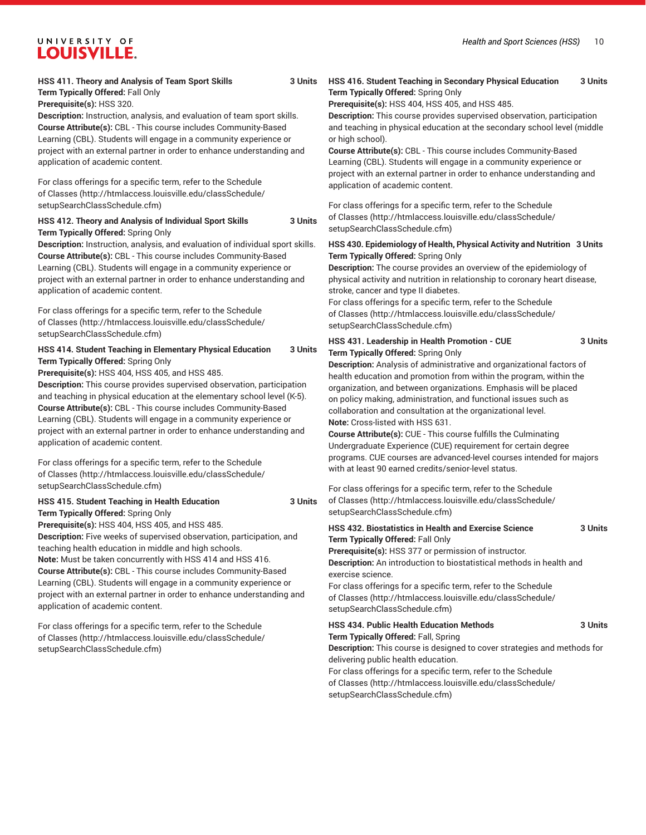#### *Health and Sport Sciences (HSS)* 10

## UNIVERSITY OF **LOUISVILLE.**

#### **HSS 411. Theory and Analysis of Team Sport Skills 3 Units Term Typically Offered:** Fall Only

**Prerequisite(s):** HSS 320.

**Description:** Instruction, analysis, and evaluation of team sport skills. **Course Attribute(s):** CBL - This course includes Community-Based Learning (CBL). Students will engage in a community experience or project with an external partner in order to enhance understanding and application of academic content.

For class offerings for a specific term, refer to the [Schedule](http://htmlaccess.louisville.edu/classSchedule/setupSearchClassSchedule.cfm) [of Classes \(http://htmlaccess.louisville.edu/classSchedule/](http://htmlaccess.louisville.edu/classSchedule/setupSearchClassSchedule.cfm) [setupSearchClassSchedule.cfm\)](http://htmlaccess.louisville.edu/classSchedule/setupSearchClassSchedule.cfm)

#### **HSS 412. Theory and Analysis of Individual Sport Skills 3 Units Term Typically Offered:** Spring Only

**Description:** Instruction, analysis, and evaluation of individual sport skills. **Course Attribute(s):** CBL - This course includes Community-Based Learning (CBL). Students will engage in a community experience or project with an external partner in order to enhance understanding and application of academic content.

For class offerings for a specific term, refer to the [Schedule](http://htmlaccess.louisville.edu/classSchedule/setupSearchClassSchedule.cfm) [of Classes \(http://htmlaccess.louisville.edu/classSchedule/](http://htmlaccess.louisville.edu/classSchedule/setupSearchClassSchedule.cfm) [setupSearchClassSchedule.cfm\)](http://htmlaccess.louisville.edu/classSchedule/setupSearchClassSchedule.cfm)

#### **HSS 414. Student Teaching in Elementary Physical Education 3 Units Term Typically Offered:** Spring Only

**Prerequisite(s):** HSS 404, HSS 405, and HSS 485.

**Description:** This course provides supervised observation, participation and teaching in physical education at the elementary school level (K-5). **Course Attribute(s):** CBL - This course includes Community-Based Learning (CBL). Students will engage in a community experience or project with an external partner in order to enhance understanding and application of academic content.

For class offerings for a specific term, refer to the [Schedule](http://htmlaccess.louisville.edu/classSchedule/setupSearchClassSchedule.cfm) [of Classes \(http://htmlaccess.louisville.edu/classSchedule/](http://htmlaccess.louisville.edu/classSchedule/setupSearchClassSchedule.cfm) [setupSearchClassSchedule.cfm\)](http://htmlaccess.louisville.edu/classSchedule/setupSearchClassSchedule.cfm)

#### **HSS 415. Student Teaching in Health Education 3 Units Term Typically Offered:** Spring Only

**Prerequisite(s):** HSS 404, HSS 405, and HSS 485.

**Description:** Five weeks of supervised observation, participation, and teaching health education in middle and high schools.

**Note:** Must be taken concurrently with HSS 414 and HSS 416. **Course Attribute(s):** CBL - This course includes Community-Based Learning (CBL). Students will engage in a community experience or project with an external partner in order to enhance understanding and application of academic content.

For class offerings for a specific term, refer to the [Schedule](http://htmlaccess.louisville.edu/classSchedule/setupSearchClassSchedule.cfm) [of Classes \(http://htmlaccess.louisville.edu/classSchedule/](http://htmlaccess.louisville.edu/classSchedule/setupSearchClassSchedule.cfm) [setupSearchClassSchedule.cfm\)](http://htmlaccess.louisville.edu/classSchedule/setupSearchClassSchedule.cfm)

#### **HSS 416. Student Teaching in Secondary Physical Education 3 Units Term Typically Offered:** Spring Only

**Prerequisite(s):** HSS 404, HSS 405, and HSS 485.

**Description:** This course provides supervised observation, participation and teaching in physical education at the secondary school level (middle or high school).

**Course Attribute(s):** CBL - This course includes Community-Based Learning (CBL). Students will engage in a community experience or project with an external partner in order to enhance understanding and application of academic content.

For class offerings for a specific term, refer to the [Schedule](http://htmlaccess.louisville.edu/classSchedule/setupSearchClassSchedule.cfm) [of Classes](http://htmlaccess.louisville.edu/classSchedule/setupSearchClassSchedule.cfm) ([http://htmlaccess.louisville.edu/classSchedule/](http://htmlaccess.louisville.edu/classSchedule/setupSearchClassSchedule.cfm) [setupSearchClassSchedule.cfm\)](http://htmlaccess.louisville.edu/classSchedule/setupSearchClassSchedule.cfm)

#### **HSS 430. Epidemiology of Health, Physical Activity and Nutrition 3 Units Term Typically Offered:** Spring Only

**Description:** The course provides an overview of the epidemiology of physical activity and nutrition in relationship to coronary heart disease, stroke, cancer and type II diabetes.

For class offerings for a specific term, refer to the [Schedule](http://htmlaccess.louisville.edu/classSchedule/setupSearchClassSchedule.cfm) [of Classes](http://htmlaccess.louisville.edu/classSchedule/setupSearchClassSchedule.cfm) ([http://htmlaccess.louisville.edu/classSchedule/](http://htmlaccess.louisville.edu/classSchedule/setupSearchClassSchedule.cfm) [setupSearchClassSchedule.cfm\)](http://htmlaccess.louisville.edu/classSchedule/setupSearchClassSchedule.cfm)

#### **HSS 431. Leadership in Health Promotion - CUE 3 Units Term Typically Offered:** Spring Only

**Description:** Analysis of administrative and organizational factors of health education and promotion from within the program, within the organization, and between organizations. Emphasis will be placed on policy making, administration, and functional issues such as collaboration and consultation at the organizational level.

**Note:** Cross-listed with HSS 631.

**Course Attribute(s):** CUE - This course fulfills the Culminating Undergraduate Experience (CUE) requirement for certain degree programs. CUE courses are advanced-level courses intended for majors with at least 90 earned credits/senior-level status.

For class offerings for a specific term, refer to the [Schedule](http://htmlaccess.louisville.edu/classSchedule/setupSearchClassSchedule.cfm) [of Classes](http://htmlaccess.louisville.edu/classSchedule/setupSearchClassSchedule.cfm) ([http://htmlaccess.louisville.edu/classSchedule/](http://htmlaccess.louisville.edu/classSchedule/setupSearchClassSchedule.cfm) [setupSearchClassSchedule.cfm\)](http://htmlaccess.louisville.edu/classSchedule/setupSearchClassSchedule.cfm)

### **HSS 432. Biostatistics in Health and Exercise Science 3 Units Term Typically Offered:** Fall Only

**Prerequisite(s):** HSS 377 or permission of instructor. **Description:** An introduction to biostatistical methods in health and exercise science.

For class offerings for a specific term, refer to the [Schedule](http://htmlaccess.louisville.edu/classSchedule/setupSearchClassSchedule.cfm) [of Classes](http://htmlaccess.louisville.edu/classSchedule/setupSearchClassSchedule.cfm) ([http://htmlaccess.louisville.edu/classSchedule/](http://htmlaccess.louisville.edu/classSchedule/setupSearchClassSchedule.cfm) [setupSearchClassSchedule.cfm\)](http://htmlaccess.louisville.edu/classSchedule/setupSearchClassSchedule.cfm)

## **HSS 434. Public Health Education Methods 3 Units**

**Term Typically Offered:** Fall, Spring

**Description:** This course is designed to cover strategies and methods for delivering public health education.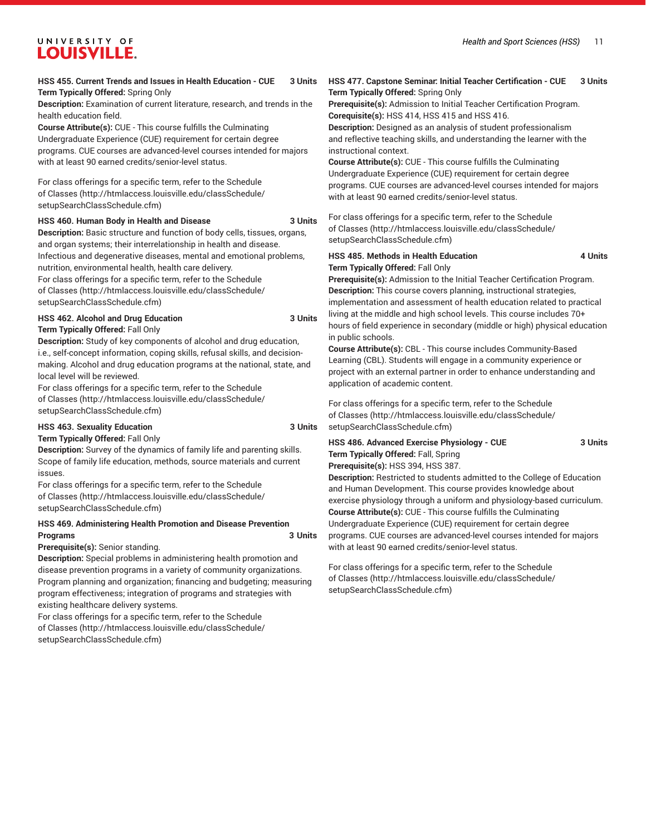#### **HSS 455. Current Trends and Issues in Health Education - CUE 3 Units Term Typically Offered:** Spring Only

**Description:** Examination of current literature, research, and trends in the health education field.

**Course Attribute(s):** CUE - This course fulfills the Culminating Undergraduate Experience (CUE) requirement for certain degree programs. CUE courses are advanced-level courses intended for majors with at least 90 earned credits/senior-level status.

For class offerings for a specific term, refer to the [Schedule](http://htmlaccess.louisville.edu/classSchedule/setupSearchClassSchedule.cfm) [of Classes \(http://htmlaccess.louisville.edu/classSchedule/](http://htmlaccess.louisville.edu/classSchedule/setupSearchClassSchedule.cfm) [setupSearchClassSchedule.cfm\)](http://htmlaccess.louisville.edu/classSchedule/setupSearchClassSchedule.cfm)

#### **HSS 460. Human Body in Health and Disease 3 Units**

**Description:** Basic structure and function of body cells, tissues, organs, and organ systems; their interrelationship in health and disease. Infectious and degenerative diseases, mental and emotional problems, nutrition, environmental health, health care delivery. For class offerings for a specific term, refer to the [Schedule](http://htmlaccess.louisville.edu/classSchedule/setupSearchClassSchedule.cfm) [of Classes \(http://htmlaccess.louisville.edu/classSchedule/](http://htmlaccess.louisville.edu/classSchedule/setupSearchClassSchedule.cfm) [setupSearchClassSchedule.cfm\)](http://htmlaccess.louisville.edu/classSchedule/setupSearchClassSchedule.cfm)

#### **HSS 462. Alcohol and Drug Education 3 Units Term Typically Offered:** Fall Only

**Description:** Study of key components of alcohol and drug education, i.e., self-concept information, coping skills, refusal skills, and decisionmaking. Alcohol and drug education programs at the national, state, and local level will be reviewed.

For class offerings for a specific term, refer to the [Schedule](http://htmlaccess.louisville.edu/classSchedule/setupSearchClassSchedule.cfm) [of Classes \(http://htmlaccess.louisville.edu/classSchedule/](http://htmlaccess.louisville.edu/classSchedule/setupSearchClassSchedule.cfm) [setupSearchClassSchedule.cfm\)](http://htmlaccess.louisville.edu/classSchedule/setupSearchClassSchedule.cfm)

#### **HSS 463. Sexuality Education 3 Units**

**Term Typically Offered:** Fall Only

**Description:** Survey of the dynamics of family life and parenting skills. Scope of family life education, methods, source materials and current issues.

For class offerings for a specific term, refer to the [Schedule](http://htmlaccess.louisville.edu/classSchedule/setupSearchClassSchedule.cfm) [of Classes \(http://htmlaccess.louisville.edu/classSchedule/](http://htmlaccess.louisville.edu/classSchedule/setupSearchClassSchedule.cfm) [setupSearchClassSchedule.cfm\)](http://htmlaccess.louisville.edu/classSchedule/setupSearchClassSchedule.cfm)

### **HSS 469. Administering Health Promotion and Disease Prevention Programs 3 Units**

#### **Prerequisite(s):** Senior standing.

**Description:** Special problems in administering health promotion and disease prevention programs in a variety of community organizations. Program planning and organization; financing and budgeting; measuring program effectiveness; integration of programs and strategies with existing healthcare delivery systems.

For class offerings for a specific term, refer to the [Schedule](http://htmlaccess.louisville.edu/classSchedule/setupSearchClassSchedule.cfm) [of Classes \(http://htmlaccess.louisville.edu/classSchedule/](http://htmlaccess.louisville.edu/classSchedule/setupSearchClassSchedule.cfm) [setupSearchClassSchedule.cfm\)](http://htmlaccess.louisville.edu/classSchedule/setupSearchClassSchedule.cfm)

#### **HSS 477. Capstone Seminar: Initial Teacher Certification - CUE 3 Units Term Typically Offered:** Spring Only

**Prerequisite(s):** Admission to Initial Teacher Certification Program. **Corequisite(s):** HSS 414, HSS 415 and HSS 416.

**Description:** Designed as an analysis of student professionalism and reflective teaching skills, and understanding the learner with the instructional context.

**Course Attribute(s):** CUE - This course fulfills the Culminating Undergraduate Experience (CUE) requirement for certain degree programs. CUE courses are advanced-level courses intended for majors with at least 90 earned credits/senior-level status.

For class offerings for a specific term, refer to the [Schedule](http://htmlaccess.louisville.edu/classSchedule/setupSearchClassSchedule.cfm) [of Classes](http://htmlaccess.louisville.edu/classSchedule/setupSearchClassSchedule.cfm) ([http://htmlaccess.louisville.edu/classSchedule/](http://htmlaccess.louisville.edu/classSchedule/setupSearchClassSchedule.cfm) [setupSearchClassSchedule.cfm\)](http://htmlaccess.louisville.edu/classSchedule/setupSearchClassSchedule.cfm)

#### **HSS 485. Methods in Health Education 4 Units Term Typically Offered:** Fall Only

**Prerequisite(s):** Admission to the Initial Teacher Certification Program. **Description:** This course covers planning, instructional strategies, implementation and assessment of health education related to practical living at the middle and high school levels. This course includes 70+ hours of field experience in secondary (middle or high) physical education in public schools.

**Course Attribute(s):** CBL - This course includes Community-Based Learning (CBL). Students will engage in a community experience or project with an external partner in order to enhance understanding and application of academic content.

For class offerings for a specific term, refer to the [Schedule](http://htmlaccess.louisville.edu/classSchedule/setupSearchClassSchedule.cfm) [of Classes](http://htmlaccess.louisville.edu/classSchedule/setupSearchClassSchedule.cfm) ([http://htmlaccess.louisville.edu/classSchedule/](http://htmlaccess.louisville.edu/classSchedule/setupSearchClassSchedule.cfm) [setupSearchClassSchedule.cfm\)](http://htmlaccess.louisville.edu/classSchedule/setupSearchClassSchedule.cfm)

### **HSS 486. Advanced Exercise Physiology - CUE 3 Units Term Typically Offered:** Fall, Spring

**Prerequisite(s):** HSS 394, HSS 387.

**Description:** Restricted to students admitted to the College of Education and Human Development. This course provides knowledge about exercise physiology through a uniform and physiology-based curriculum. **Course Attribute(s):** CUE - This course fulfills the Culminating Undergraduate Experience (CUE) requirement for certain degree programs. CUE courses are advanced-level courses intended for majors with at least 90 earned credits/senior-level status.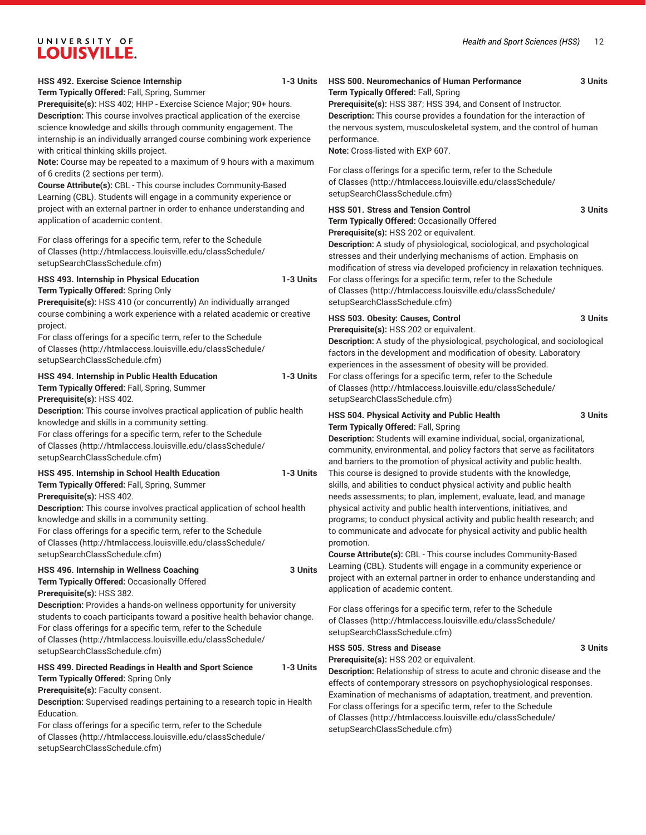| HSS 492. Exercise Science Internship<br>1-3 Units<br>Term Typically Offered: Fall, Spring, Summer<br>Prerequisite(s): HSS 402; HHP - Exercise Science Major; 90+ hours.<br>Description: This course involves practical application of the exercise<br>science knowledge and skills through community engagement. The<br>internship is an individually arranged course combining work experience<br>with critical thinking skills project. | <b>HSS 500. Neuromechanics of Human Performance</b><br>3 Units<br>Term Typically Offered: Fall, Spring<br>Prerequisite(s): HSS 387; HSS 394, and Consent of Instructor.<br>Description: This course provides a foundation for the interaction of<br>the nervous system, musculoskeletal system, and the control of human<br>performance.<br>Note: Cross-listed with EXP 607.                                                                                                                                          |
|-------------------------------------------------------------------------------------------------------------------------------------------------------------------------------------------------------------------------------------------------------------------------------------------------------------------------------------------------------------------------------------------------------------------------------------------|-----------------------------------------------------------------------------------------------------------------------------------------------------------------------------------------------------------------------------------------------------------------------------------------------------------------------------------------------------------------------------------------------------------------------------------------------------------------------------------------------------------------------|
| Note: Course may be repeated to a maximum of 9 hours with a maximum<br>of 6 credits (2 sections per term).<br>Course Attribute(s): CBL - This course includes Community-Based<br>Learning (CBL). Students will engage in a community experience or                                                                                                                                                                                        | For class offerings for a specific term, refer to the Schedule<br>of Classes (http://htmlaccess.louisville.edu/classSchedule/<br>setupSearchClassSchedule.cfm)                                                                                                                                                                                                                                                                                                                                                        |
| project with an external partner in order to enhance understanding and<br>application of academic content.<br>For class offerings for a specific term, refer to the Schedule<br>of Classes (http://htmlaccess.louisville.edu/classSchedule/<br>setupSearchClassSchedule.cfm)                                                                                                                                                              | HSS 501. Stress and Tension Control<br>3 Units<br>Term Typically Offered: Occasionally Offered<br>Prerequisite(s): HSS 202 or equivalent.<br>Description: A study of physiological, sociological, and psychological<br>stresses and their underlying mechanisms of action. Emphasis on<br>modification of stress via developed proficiency in relaxation techniques.                                                                                                                                                  |
| HSS 493. Internship in Physical Education<br>1-3 Units<br>Term Typically Offered: Spring Only<br>Prerequisite(s): HSS 410 (or concurrently) An individually arranged                                                                                                                                                                                                                                                                      | For class offerings for a specific term, refer to the Schedule<br>of Classes (http://htmlaccess.louisville.edu/classSchedule/<br>setupSearchClassSchedule.cfm)                                                                                                                                                                                                                                                                                                                                                        |
| course combining a work experience with a related academic or creative<br>project.<br>For class offerings for a specific term, refer to the Schedule<br>of Classes (http://htmlaccess.louisville.edu/classSchedule/<br>setupSearchClassSchedule.cfm)                                                                                                                                                                                      | HSS 503. Obesity: Causes, Control<br>3 Units<br>Prerequisite(s): HSS 202 or equivalent.<br>Description: A study of the physiological, psychological, and sociological<br>factors in the development and modification of obesity. Laboratory<br>experiences in the assessment of obesity will be provided.                                                                                                                                                                                                             |
| HSS 494. Internship in Public Health Education<br>1-3 Units<br>Term Typically Offered: Fall, Spring, Summer<br>Prerequisite(s): HSS 402.                                                                                                                                                                                                                                                                                                  | For class offerings for a specific term, refer to the Schedule<br>of Classes (http://htmlaccess.louisville.edu/classSchedule/<br>setupSearchClassSchedule.cfm)                                                                                                                                                                                                                                                                                                                                                        |
| Description: This course involves practical application of public health<br>knowledge and skills in a community setting.<br>For class offerings for a specific term, refer to the Schedule<br>of Classes (http://htmlaccess.louisville.edu/classSchedule/<br>setupSearchClassSchedule.cfm)                                                                                                                                                | HSS 504. Physical Activity and Public Health<br>3 Units<br>Term Typically Offered: Fall, Spring<br>Description: Students will examine individual, social, organizational,<br>community, environmental, and policy factors that serve as facilitators<br>and barriers to the promotion of physical activity and public health.                                                                                                                                                                                         |
| HSS 495. Internship in School Health Education<br>1-3 Units<br>Term Typically Offered: Fall, Spring, Summer<br>Prerequisite(s): HSS 402.<br>Description: This course involves practical application of school health<br>knowledge and skills in a community setting.<br>For class offerings for a specific term, refer to the Schedule<br>of Classes (http://htmlaccess.louisville.edu/classSchedule/<br>setupSearchClassSchedule.cfm)    | This course is designed to provide students with the knowledge,<br>skills, and abilities to conduct physical activity and public health<br>needs assessments; to plan, implement, evaluate, lead, and manage<br>physical activity and public health interventions, initiatives, and<br>programs; to conduct physical activity and public health research; and<br>to communicate and advocate for physical activity and public health<br>promotion.<br>Course Attribute(s): CBL - This course includes Community-Based |
| HSS 496. Internship in Wellness Coaching<br>Term Typically Offered: Occasionally Offered<br>Prerequisite(s): HSS 382.                                                                                                                                                                                                                                                                                                                     | Learning (CBL). Students will engage in a community experience or<br>3 Units<br>project with an external partner in order to enhance understanding and<br>application of academic content.                                                                                                                                                                                                                                                                                                                            |
| Description: Provides a hands-on wellness opportunity for university<br>students to coach participants toward a positive health behavior change.<br>For class offerings for a specific term, refer to the Schedule<br>of Classes (http://htmlaccess.louisville.edu/classSchedule/<br>setupSearchClassSchedule.cfm)                                                                                                                        | For class offerings for a specific term, refer to the Schedule<br>of Classes (http://htmlaccess.louisville.edu/classSchedule/<br>setupSearchClassSchedule.cfm)<br><b>HSS 505. Stress and Disease</b><br>3 Units                                                                                                                                                                                                                                                                                                       |
| HSS 499. Directed Readings in Health and Sport Science<br>1-3 Units<br>Term Typically Offered: Spring Only<br>Prerequisite(s): Faculty consent.<br>Description: Supervised readings pertaining to a research topic in Health<br>Education.<br>For class offerings for a specific term, refer to the Schedule<br>of Classes (http://htmlaccess.louisville.edu/classSchedule/<br>setupSearchClassSchedule.cfm)                              | Prerequisite(s): HSS 202 or equivalent.<br>Description: Relationship of stress to acute and chronic disease and the<br>effects of contemporary stressors on psychophysiological responses.<br>Examination of mechanisms of adaptation, treatment, and prevention.<br>For class offerings for a specific term, refer to the Schedule<br>of Classes (http://htmlaccess.louisville.edu/classSchedule/<br>setupSearchClassSchedule.cfm)                                                                                   |